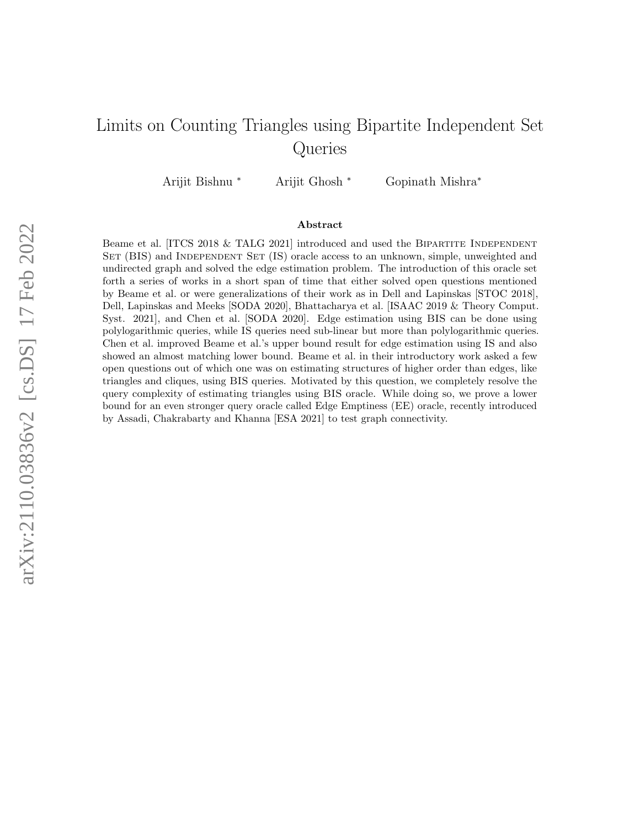# <span id="page-0-0"></span>Limits on Counting Triangles using Bipartite Independent Set Queries

Arijit Bishnu <sup>∗</sup> Arijit Ghosh <sup>∗</sup> Gopinath Mishra<sup>∗</sup>

#### Abstract

Beame et al.  $[ITCS 2018 \& TALG 2021]$  introduced and used the BIPARTITE INDEPENDENT SET (BIS) and INDEPENDENT SET (IS) oracle access to an unknown, simple, unweighted and undirected graph and solved the edge estimation problem. The introduction of this oracle set forth a series of works in a short span of time that either solved open questions mentioned by Beame et al. or were generalizations of their work as in Dell and Lapinskas [STOC 2018], Dell, Lapinskas and Meeks [SODA 2020], Bhattacharya et al. [ISAAC 2019 & Theory Comput. Syst. 2021], and Chen et al. [SODA 2020]. Edge estimation using BIS can be done using polylogarithmic queries, while IS queries need sub-linear but more than polylogarithmic queries. Chen et al. improved Beame et al.'s upper bound result for edge estimation using IS and also showed an almost matching lower bound. Beame et al. in their introductory work asked a few open questions out of which one was on estimating structures of higher order than edges, like triangles and cliques, using BIS queries. Motivated by this question, we completely resolve the query complexity of estimating triangles using BIS oracle. While doing so, we prove a lower bound for an even stronger query oracle called Edge Emptiness (EE) oracle, recently introduced by Assadi, Chakrabarty and Khanna [ESA 2021] to test graph connectivity.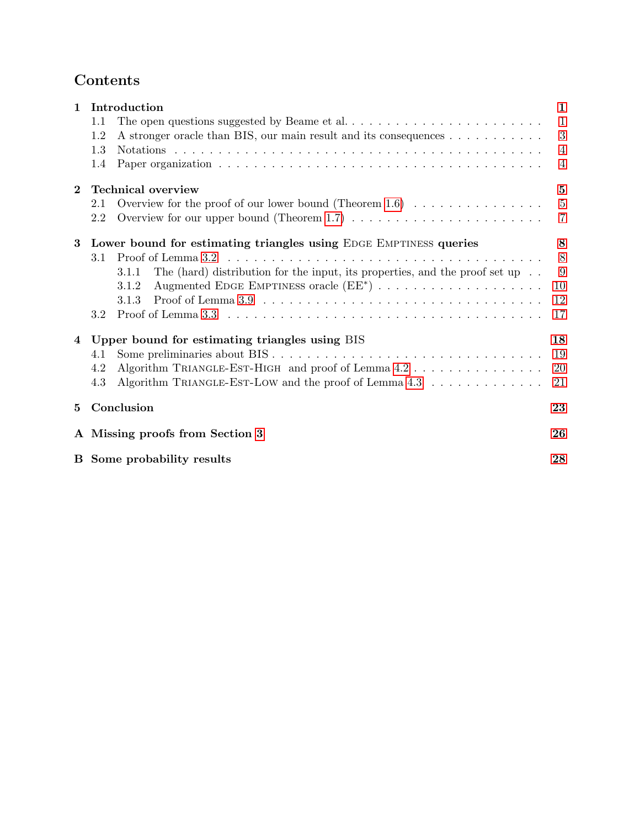# Contents

| $\mathbf{1}$ | Introduction                                                                                                                            |                 |  |  |  |  |
|--------------|-----------------------------------------------------------------------------------------------------------------------------------------|-----------------|--|--|--|--|
|              | 1.1                                                                                                                                     | $\overline{1}$  |  |  |  |  |
|              | 1.2<br>A stronger oracle than BIS, our main result and its consequences                                                                 | 3               |  |  |  |  |
|              | 1.3                                                                                                                                     | 4               |  |  |  |  |
|              | 1.4                                                                                                                                     | 4               |  |  |  |  |
| $\bf{2}$     | <b>Technical overview</b><br>$\mathbf{5}$                                                                                               |                 |  |  |  |  |
|              | Overview for the proof of our lower bound (Theorem 1.6) $\ldots \ldots \ldots \ldots \ldots$<br>2.1                                     | $5\phantom{.0}$ |  |  |  |  |
|              | Overview for our upper bound (Theorem 1.7) $\ldots \ldots \ldots \ldots \ldots \ldots \ldots$<br>2.2                                    | $\overline{7}$  |  |  |  |  |
| 3            | Lower bound for estimating triangles using EDGE EMPTINESS queries                                                                       |                 |  |  |  |  |
|              | Proof of Lemma 3.2 $\dots \dots \dots \dots \dots \dots \dots \dots \dots \dots \dots \dots \dots \dots \dots \dots$<br>3.1             | 8               |  |  |  |  |
|              | The (hard) distribution for the input, its properties, and the proof set up $\ldots$<br>3.1.1                                           | 9               |  |  |  |  |
|              | 3.1.2                                                                                                                                   | 10              |  |  |  |  |
|              | 3.1.3                                                                                                                                   | 12              |  |  |  |  |
|              | Proof of Lemma $3.3$ $\ldots$ $\ldots$ $\ldots$ $\ldots$ $\ldots$ $\ldots$ $\ldots$ $\ldots$ $\ldots$ $\ldots$ $\ldots$ $\ldots$<br>3.2 | 17              |  |  |  |  |
| 4            | Upper bound for estimating triangles using BIS                                                                                          | 18              |  |  |  |  |
|              | 4.1                                                                                                                                     | 19              |  |  |  |  |
|              | Algorithm TRIANGLE-EST-HIGH and proof of Lemma 4.2<br>4.2                                                                               | 20              |  |  |  |  |
|              | Algorithm TRIANGLE-EST-LOW and the proof of Lemma $4.3 \ldots \ldots \ldots \ldots$<br>4.3                                              | 21              |  |  |  |  |
| 5            | Conclusion                                                                                                                              |                 |  |  |  |  |
|              | A Missing proofs from Section 3                                                                                                         |                 |  |  |  |  |
|              | <b>B</b> Some probability results<br>28                                                                                                 |                 |  |  |  |  |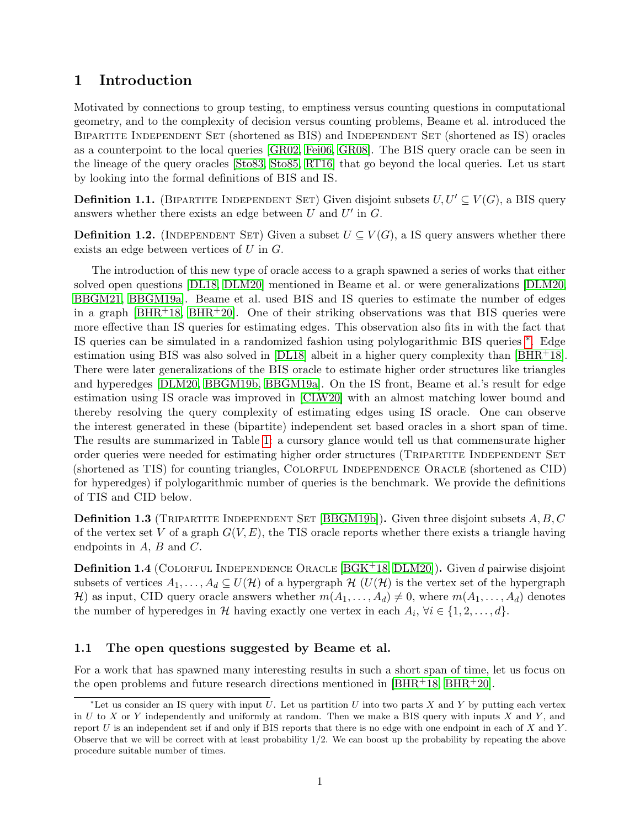# <span id="page-2-0"></span>1 Introduction

Motivated by connections to group testing, to emptiness versus counting questions in computational geometry, and to the complexity of decision versus counting problems, Beame et al. introduced the BIPARTITE INDEPENDENT SET (shortened as BIS) and INDEPENDENT SET (shortened as IS) oracles as a counterpoint to the local queries [\[GR02,](#page-26-0) [Fei06,](#page-26-1) [GR08\]](#page-26-2). The BIS query oracle can be seen in the lineage of the query oracles [\[Sto83,](#page-26-3) [Sto85,](#page-26-4) [RT16\]](#page-26-5) that go beyond the local queries. Let us start by looking into the formal definitions of BIS and IS.

**Definition 1.1.** (BIPARTITE INDEPENDENT SET) Given disjoint subsets  $U, U' \subseteq V(G)$ , a BIS query answers whether there exists an edge between  $U$  and  $U'$  in  $G$ .

**Definition 1.2.** (INDEPENDENT SET) Given a subset  $U \subseteq V(G)$ , a IS query answers whether there exists an edge between vertices of  $U$  in  $G$ .

The introduction of this new type of oracle access to a graph spawned a series of works that either solved open questions [\[DL18,](#page-25-0) [DLM20\]](#page-26-6) mentioned in Beame et al. or were generalizations [\[DLM20,](#page-26-6) [BBGM21,](#page-25-1) [BBGM19a\]](#page-25-2). Beame et al. used BIS and IS queries to estimate the number of edges in a graph  $[BHR+18, BHR+20]$  $[BHR+18, BHR+20]$  $[BHR+18, BHR+20]$ . One of their striking observations was that BIS queries were more effective than IS queries for estimating edges. This observation also fits in with the fact that IS queries can be simulated in a randomized fashion using polylogarithmic BIS queries [∗](#page-2-2) . Edge estimation using BIS was also solved in  $[DL18]$  albeit in a higher query complexity than  $[BHR^+18]$ . There were later generalizations of the BIS oracle to estimate higher order structures like triangles and hyperedges [\[DLM20,](#page-26-6) [BBGM19b,](#page-25-5) [BBGM19a\]](#page-25-2). On the IS front, Beame et al.'s result for edge estimation using IS oracle was improved in [\[CLW20\]](#page-25-6) with an almost matching lower bound and thereby resolving the query complexity of estimating edges using IS oracle. One can observe the interest generated in these (bipartite) independent set based oracles in a short span of time. The results are summarized in Table [1:](#page-3-0) a cursory glance would tell us that commensurate higher order queries were needed for estimating higher order structures (TRIPARTITE INDEPENDENT SET (shortened as TIS) for counting triangles, Colorful Independence Oracle (shortened as CID) for hyperedges) if polylogarithmic number of queries is the benchmark. We provide the definitions of TIS and CID below.

**Definition 1.3** (TRIPARTITE INDEPENDENT SET [\[BBGM19b\]](#page-25-5)). Given three disjoint subsets  $A, B, C$ of the vertex set V of a graph  $G(V, E)$ , the TIS oracle reports whether there exists a triangle having endpoints in  $A, B$  and  $C$ .

**Definition 1.4** (COLORFUL INDEPENDENCE ORACLE  $[BGK+18, DLM20]$  $[BGK+18, DLM20]$  $[BGK+18, DLM20]$ ). Given d pairwise disjoint subsets of vertices  $A_1, \ldots, A_d \subseteq U(H)$  of a hypergraph  $H(U(H))$  is the vertex set of the hypergraph H) as input, CID query oracle answers whether  $m(A_1, \ldots, A_d) \neq 0$ , where  $m(A_1, \ldots, A_d)$  denotes the number of hyperedges in H having exactly one vertex in each  $A_i$ ,  $\forall i \in \{1, 2, ..., d\}$ .

# <span id="page-2-1"></span>1.1 The open questions suggested by Beame et al.

For a work that has spawned many interesting results in such a short span of time, let us focus on the open problems and future research directions mentioned in  $[BHR^+18, BHR^+20]$  $[BHR^+18, BHR^+20]$  $[BHR^+18, BHR^+20]$ .

<span id="page-2-2"></span><sup>\*</sup>Let us consider an IS query with input U. Let us partition U into two parts X and Y by putting each vertex in U to X or Y independently and uniformly at random. Then we make a BIS query with inputs X and Y, and report  $U$  is an independent set if and only if BIS reports that there is no edge with one endpoint in each of  $X$  and  $Y$ . Observe that we will be correct with at least probability  $1/2$ . We can boost up the probability by repeating the above procedure suitable number of times.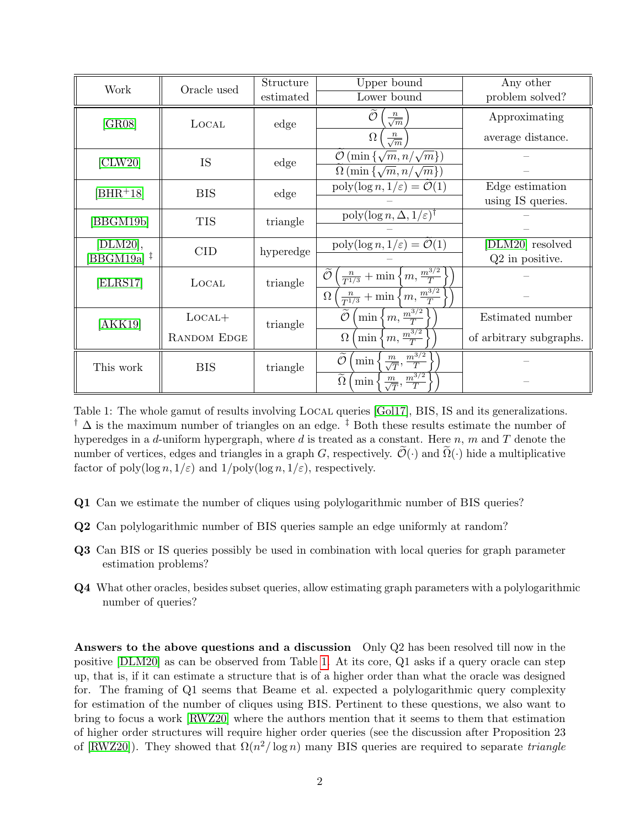| Work       | Oracle used        | Structure | Upper bound                                                                            | Any other               |
|------------|--------------------|-----------|----------------------------------------------------------------------------------------|-------------------------|
|            |                    | estimated | Lower bound                                                                            | problem solved?         |
| [GR08]     | LOCAL              | edge      | Õ<br>$\frac{n}{\sqrt{m}}$                                                              | Approximating           |
|            |                    |           | $\frac{n}{\sqrt{m}}$<br>$\Omega$                                                       | average distance.       |
| [CLW20]    | IS                 | edge      | $\mathcal{O}(\min\left\{\sqrt{m}, n/\sqrt{m}\right\})$                                 |                         |
|            |                    |           | $\Omega$ (min $\{\sqrt{m}, n/\sqrt{m}\}\$ )                                            |                         |
| $[BHR+18]$ | <b>BIS</b>         | edge      | $\operatorname{poly}(\log n, 1/\varepsilon) = \mathcal{O}(1)$                          | Edge estimation         |
|            |                    |           |                                                                                        | using IS queries.       |
| [BBGM19b]  | <b>TIS</b>         | triangle  | $\overline{\text{poly}(\log n, \Delta, 1/\varepsilon)}^{\dagger}$                      |                         |
|            |                    |           |                                                                                        |                         |
| [DLM20],   | <b>CID</b>         | hyperedge | $\operatorname{poly}(\log n, 1/\varepsilon) = \mathcal{O}(1)$                          | [DLM20] resolved        |
| [BBGM19a]‡ |                    |           |                                                                                        | $Q2$ in positive.       |
| [ELRS17]   | LOCAL              | triangle  | $\frac{n}{T^{1/3}} + \min\left\{m, \frac{m^{3/2}}{T}\right\}$<br>$\overline{O}$        |                         |
|            |                    |           | $\frac{n}{T^{1/3}} + \min\left\{m, \frac{m^{3/2}}{T}\right\}$<br>$\Omega$              |                         |
| [AKK19]    | $LocAL+$           | triangle  | $\min\left\{m,\frac{m^{3/2}}{T}\right\}$                                               | Estimated number        |
|            | <b>RANDOM EDGE</b> |           | $\{m, \frac{m^{3/2}}{T}\}$<br>$\Omega$<br>min                                          | of arbitrary subgraphs. |
| This work  | <b>BIS</b>         | triangle  | $\widetilde{\mathcal{O}}$<br>$\frac{m}{\sqrt{T}}, \frac{m^{\overline{3}/2}}{T}$<br>min |                         |
|            |                    |           | $\overline{\tilde{\Omega}}$<br>$\frac{m^{3/2}}{T}$<br>$\frac{m}{\sqrt{T}},$<br>$\min$  |                         |

<span id="page-3-0"></span>Table 1: The whole gamut of results involving LOCAL queries [\[Gol17\]](#page-26-8), BIS, IS and its generalizations. <sup>†</sup>  $\Delta$  is the maximum number of triangles on an edge. <sup>‡</sup> Both these results estimate the number of hyperedges in a d-uniform hypergraph, where d is treated as a constant. Here  $n$ ,  $m$  and  $T$  denote the number of vertices, edges and triangles in a graph G, respectively.  $\mathcal{O}(\cdot)$  and  $\Omega(\cdot)$  hide a multiplicative factor of poly $(\log n, 1/\varepsilon)$  and  $1/\text{poly}(\log n, 1/\varepsilon)$ , respectively.

- Q1 Can we estimate the number of cliques using polylogarithmic number of BIS queries?
- Q2 Can polylogarithmic number of BIS queries sample an edge uniformly at random?
- Q3 Can BIS or IS queries possibly be used in combination with local queries for graph parameter estimation problems?
- Q4 What other oracles, besides subset queries, allow estimating graph parameters with a polylogarithmic number of queries?

Answers to the above questions and a discussion Only Q2 has been resolved till now in the positive [\[DLM20\]](#page-26-6) as can be observed from Table [1.](#page-3-0) At its core, Q1 asks if a query oracle can step up, that is, if it can estimate a structure that is of a higher order than what the oracle was designed for. The framing of Q1 seems that Beame et al. expected a polylogarithmic query complexity for estimation of the number of cliques using BIS. Pertinent to these questions, we also want to bring to focus a work [\[RWZ20\]](#page-26-9) where the authors mention that it seems to them that estimation of higher order structures will require higher order queries (see the discussion after Proposition 23 of [\[RWZ20\]](#page-26-9)). They showed that  $\Omega(n^2/\log n)$  many BIS queries are required to separate triangle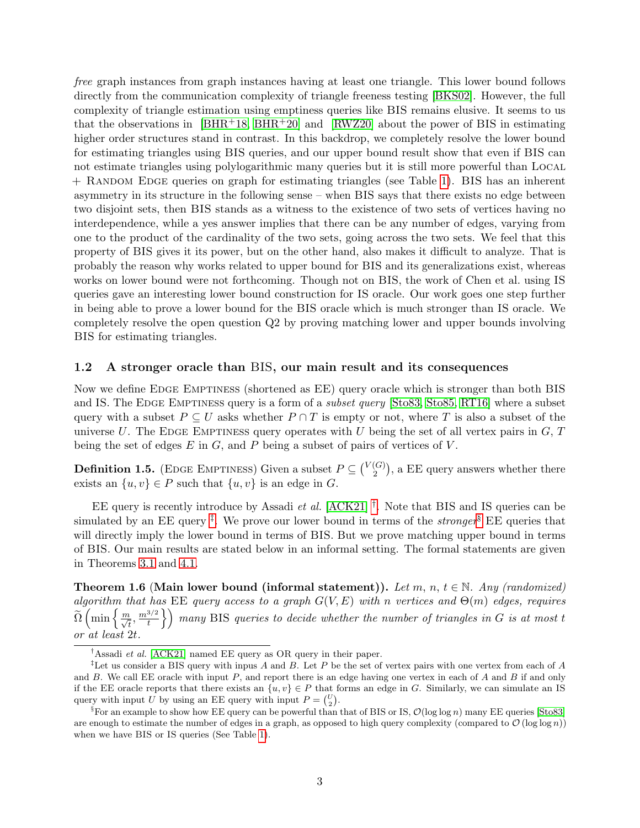free graph instances from graph instances having at least one triangle. This lower bound follows directly from the communication complexity of triangle freeness testing [\[BKS02\]](#page-25-9). However, the full complexity of triangle estimation using emptiness queries like BIS remains elusive. It seems to us that the observations in  $[BHR^+18, BHR^+20]$  $[BHR^+18, BHR^+20]$  $[BHR^+18, BHR^+20]$  and  $[RWZ20]$  about the power of BIS in estimating higher order structures stand in contrast. In this backdrop, we completely resolve the lower bound for estimating triangles using BIS queries, and our upper bound result show that even if BIS can not estimate triangles using polylogarithmic many queries but it is still more powerful than Local + Random Edge queries on graph for estimating triangles (see Table [1\)](#page-3-0). BIS has an inherent asymmetry in its structure in the following sense – when BIS says that there exists no edge between two disjoint sets, then BIS stands as a witness to the existence of two sets of vertices having no interdependence, while a yes answer implies that there can be any number of edges, varying from one to the product of the cardinality of the two sets, going across the two sets. We feel that this property of BIS gives it its power, but on the other hand, also makes it difficult to analyze. That is probably the reason why works related to upper bound for BIS and its generalizations exist, whereas works on lower bound were not forthcoming. Though not on BIS, the work of Chen et al. using IS queries gave an interesting lower bound construction for IS oracle. Our work goes one step further in being able to prove a lower bound for the BIS oracle which is much stronger than IS oracle. We completely resolve the open question Q2 by proving matching lower and upper bounds involving BIS for estimating triangles.

#### <span id="page-4-0"></span>1.2 A stronger oracle than BIS, our main result and its consequences

Now we define EDGE EMPTINESS (shortened as EE) query oracle which is stronger than both BIS and IS. The EDGE EMPTINESS query is a form of a *subset query* [\[Sto83,](#page-26-3) [Sto85,](#page-26-4) [RT16\]](#page-26-5) where a subset query with a subset  $P \subseteq U$  asks whether  $P \cap T$  is empty or not, where T is also a subset of the universe U. The EDGE EMPTINESS query operates with U being the set of all vertex pairs in  $G, T$ being the set of edges  $E$  in  $G$ , and  $P$  being a subset of pairs of vertices of  $V$ .

**Definition 1.5.** (EDGE EMPTINESS) Given a subset  $P \subseteq \binom{V(G)}{2}$  $_2^{(G)}$ , a EE query answers whether there exists an  $\{u, v\} \in P$  such that  $\{u, v\}$  is an edge in G.

EE query is recently introduce by Assadi *et al.*  $[ACK21]$ <sup>[†](#page-4-2)</sup>. Note that BIS and IS queries can be simulated by an EE query<sup> $\ddagger$ </sup>. We prove our lower bound in terms of the *stronger*<sup>[§](#page-4-4)</sup> EE queries that will directly imply the lower bound in terms of BIS. But we prove matching upper bound in terms of BIS. Our main results are stated below in an informal setting. The formal statements are given in Theorems [3.1](#page-9-4) and [4.1.](#page-19-1)

<span id="page-4-1"></span>Theorem 1.6 (Main lower bound (informal statement)). Let m, n,  $t \in \mathbb{N}$ . Any (randomized) algorithm that has EE query access to a graph  $G(V, E)$  with n vertices and  $\Theta(m)$  edges, requires  $\widetilde{\Omega}\left(\min\left\{\frac{m}{\sqrt{t}},\frac{m^{3/2}}{t}\right. \right.$  $\left\{\left\{\right\}\right\}$  many BIS queries to decide whether the number of triangles in G is at most t or at least 2t.

<span id="page-4-3"></span><span id="page-4-2"></span><sup>&</sup>lt;sup>†</sup>Assadi *et al.* [\[ACK21\]](#page-25-10) named EE query as OR query in their paper.

<sup>&</sup>lt;sup>‡</sup>Let us consider a BIS query with inpus A and B. Let P be the set of vertex pairs with one vertex from each of A and  $B$ . We call EE oracle with input  $P$ , and report there is an edge having one vertex in each of  $A$  and  $B$  if and only if the EE oracle reports that there exists an  $\{u, v\} \in P$  that forms an edge in G. Similarly, we can simulate an IS query with input U by using an EE query with input  $P = \begin{pmatrix} U \\ 2 \end{pmatrix}$ .

<span id="page-4-4"></span><sup>&</sup>lt;sup>§</sup>For an example to show how EE query can be powerful than that of BIS or IS,  $\mathcal{O}(\log \log n)$  many EE queries [\[Sto83\]](#page-26-3) are enough to estimate the number of edges in a graph, as opposed to high query complexity (compared to  $\mathcal{O}(\log \log n)$ ) when we have BIS or IS queries (See Table [1\)](#page-3-0).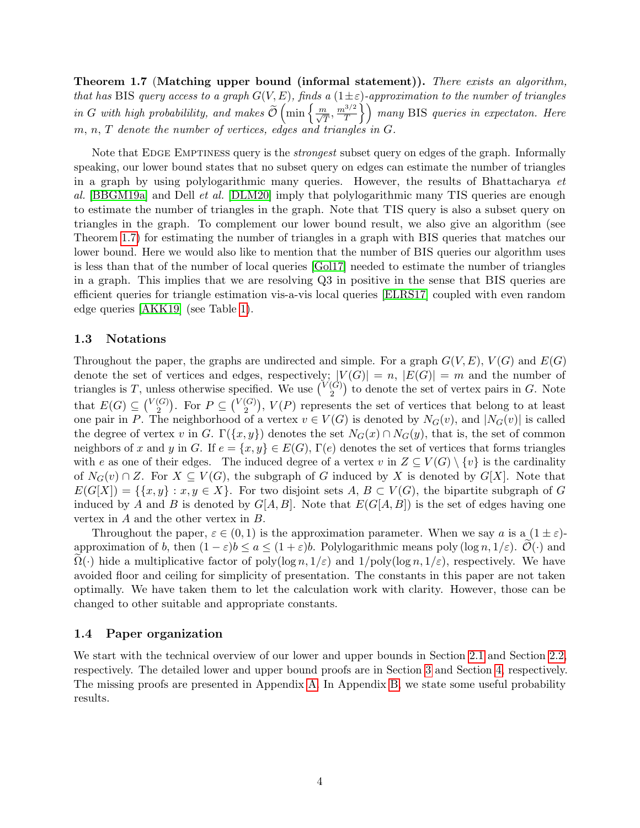<span id="page-5-2"></span>Theorem 1.7 (Matching upper bound (informal statement)). There exists an algorithm, that has BIS query access to a graph  $G(V, E)$ , finds a  $(1 \pm \varepsilon)$ -approximation to the number of triangles in G with high probabilility, and makes  $\widetilde{\mathcal{O}}\left(\min\left\{\frac{m}{\sqrt{T}},\frac{m^{3/2}}{T}\right\}\right)$  $\left(\frac{\beta^{3/2}}{T}\right)$  many BIS queries in expectaton. Here m, n, T denote the number of vertices, edges and triangles in G.

Note that EDGE EMPTINESS query is the *strongest* subset query on edges of the graph. Informally speaking, our lower bound states that no subset query on edges can estimate the number of triangles in a graph by using polylogarithmic many queries. However, the results of Bhattacharya  $et$ al. [\[BBGM19a\]](#page-25-2) and Dell *et al.* [\[DLM20\]](#page-26-6) imply that polylogarithmic many TIS queries are enough to estimate the number of triangles in the graph. Note that TIS query is also a subset query on triangles in the graph. To complement our lower bound result, we also give an algorithm (see Theorem [1.7\)](#page-5-2) for estimating the number of triangles in a graph with BIS queries that matches our lower bound. Here we would also like to mention that the number of BIS queries our algorithm uses is less than that of the number of local queries [\[Gol17\]](#page-26-8) needed to estimate the number of triangles in a graph. This implies that we are resolving Q3 in positive in the sense that BIS queries are efficient queries for triangle estimation vis-a-vis local queries [\[ELRS17\]](#page-26-7) coupled with even random edge queries [\[AKK19\]](#page-25-8) (see Table [1\)](#page-3-0).

### <span id="page-5-0"></span>1.3 Notations

Throughout the paper, the graphs are undirected and simple. For a graph  $G(V, E)$ ,  $V(G)$  and  $E(G)$ denote the set of vertices and edges, respectively;  $|V(G)| = n$ ,  $|E(G)| = m$  and the number of triangles is T, unless otherwise specified. We use  $\binom{V(G)}{2}$  $\binom{G}{2}$  to denote the set of vertex pairs in G. Note that  $E(G) \subseteq {V(G) \choose 2}$  $\binom{G}{2}$ . For  $P \subseteq \binom{V(G)}{2}$  $\binom{G}{2}$ ,  $V(P)$  represents the set of vertices that belong to at least one pair in P. The neighborhood of a vertex  $v \in V(G)$  is denoted by  $N_G(v)$ , and  $|N_G(v)|$  is called the degree of vertex v in G.  $\Gamma({x, y})$  denotes the set  $N_G(x) \cap N_G(y)$ , that is, the set of common neighbors of x and y in G. If  $e = \{x, y\} \in E(G)$ ,  $\Gamma(e)$  denotes the set of vertices that forms triangles with e as one of their edges. The induced degree of a vertex v in  $Z \subseteq V(G) \setminus \{v\}$  is the cardinality of  $N_G(v) \cap Z$ . For  $X \subseteq V(G)$ , the subgraph of G induced by X is denoted by  $G[X]$ . Note that  $E(G[X]) = \{ \{x, y\} : x, y \in X \}$ . For two disjoint sets  $A, B \subset V(G)$ , the bipartite subgraph of G induced by A and B is denoted by  $G[A, B]$ . Note that  $E(G[A, B])$  is the set of edges having one vertex in A and the other vertex in B.

Throughout the paper,  $\varepsilon \in (0,1)$  is the approximation parameter. When we say a is a  $(1 \pm \varepsilon)$ approximation of b, then  $(1 - \varepsilon)b \le a \le (1 + \varepsilon)b$ . Polylogarithmic means poly  $(\log n, 1/\varepsilon)$ .  $\mathcal{O}(\cdot)$  and  $\Omega(\cdot)$  hide a multiplicative factor of poly(log n, 1/ε) and 1/poly(log n, 1/ε), respectively. We have avoided floor and ceiling for simplicity of presentation. The constants in this paper are not taken optimally. We have taken them to let the calculation work with clarity. However, those can be changed to other suitable and appropriate constants.

#### <span id="page-5-1"></span>1.4 Paper organization

We start with the technical overview of our lower and upper bounds in Section [2.1](#page-6-1) and Section [2.2,](#page-8-0) respectively. The detailed lower and upper bound proofs are in Section [3](#page-9-0) and Section [4,](#page-19-0) respectively. The missing proofs are presented in Appendix [A.](#page-27-0) In Appendix [B,](#page-29-0) we state some useful probability results.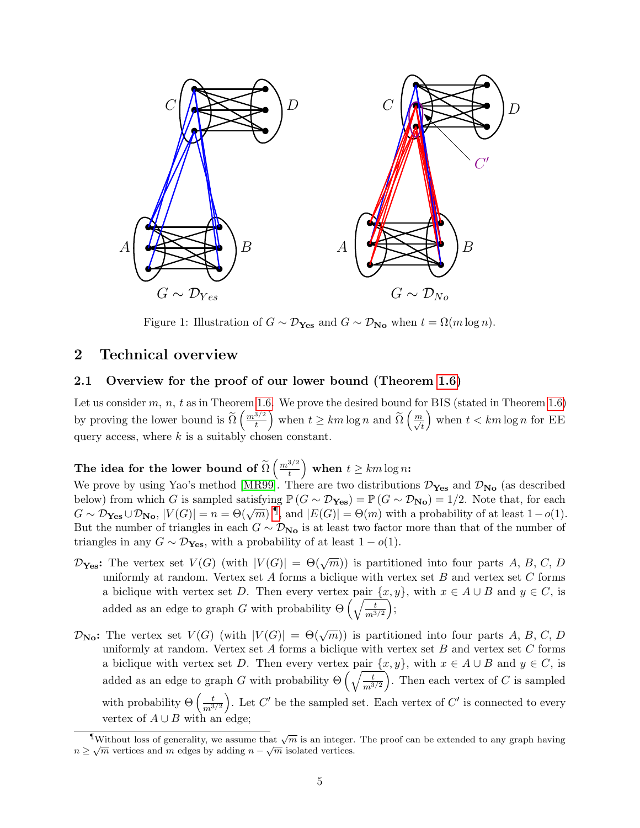

<span id="page-6-3"></span>Figure 1: Illustration of  $G \sim \mathcal{D}_{\text{Yes}}$  and  $G \sim \mathcal{D}_{\text{No}}$  when  $t = \Omega(m \log n)$ .

# <span id="page-6-0"></span>2 Technical overview

### <span id="page-6-1"></span>2.1 Overview for the proof of our lower bound (Theorem [1.6\)](#page-4-1)

Let us consider m, n, t as in Theorem [1.6.](#page-4-1) We prove the desired bound for BIS (stated in Theorem [1.6\)](#page-4-1) by proving the lower bound is  $\widetilde{\Omega}\left(\frac{m^{3/2}}{t}\right)$  $\left(\frac{m}{t}\right)$  when  $t \geq km \log n$  and  $\widetilde{\Omega}\left(\frac{m}{\sqrt{t}}\right)$ ) when  $t < km \log n$  for EE query access, where  $k$  is a suitably chosen constant.

The idea for the lower bound of  $\widetilde{\Omega}\left(\frac{m^{3/2}}{t}\right)$  $\left(\frac{3/2}{t}\right)$  when  $t \geq km \log n$ :

We prove by using Yao's method [\[MR99\]](#page-26-10). There are two distributions  $\mathcal{D}_{\text{Yes}}$  and  $\mathcal{D}_{\text{No}}$  (as described below) from which G is sampled satisfying  $\mathbb{P}(G \sim \mathcal{D}_{\text{Yes}}) = \mathbb{P}(G \sim \mathcal{D}_{\text{No}}) = 1/2$ . Note that, for each  $G \sim \mathcal{D}_{\mathbf{Yes}} \cup \mathcal{D}_{\mathbf{No}}$ ,  $|V(G)| = n = \Theta(\sqrt{m})^{\mathbb{T}}$ , and  $|E(G)| = \Theta(m)$  with a probability of at least  $1-o(1)$ . But the number of triangles in each  $G \sim \mathcal{D}_{N_{o}}$  is at least two factor more than that of the number of triangles in any  $G \sim \mathcal{D}_{\text{Yes}}$ , with a probability of at least  $1 - o(1)$ .

- $\mathcal{D}_{\text{Yes}}$ : The vertex set  $V(G)$  (with  $|V(G)| = \Theta(\sqrt{m})$ ) is partitioned into four parts A, B, C, D uniformly at random. Vertex set  $A$  forms a biclique with vertex set  $B$  and vertex set  $C$  forms a biclique with vertex set D. Then every vertex pair  $\{x, y\}$ , with  $x \in A \cup B$  and  $y \in C$ , is added as an edge to graph G with probability  $\Theta\left(\sqrt{\frac{t}{m^{3/2}}}\right)$  $\big),$
- $\mathcal{D}_{\mathbf{No}}$ : The vertex set  $V(G)$  (with  $|V(G)| = \Theta(\sqrt{m})$ ) is partitioned into four parts A, B, C, D uniformly at random. Vertex set  $A$  forms a biclique with vertex set  $B$  and vertex set  $C$  forms a biclique with vertex set D. Then every vertex pair  $\{x, y\}$ , with  $x \in A \cup B$  and  $y \in C$ , is added as an edge to graph G with probability  $\Theta\left(\sqrt{\frac{t}{m^{3/2}}}\right)$ ). Then each vertex of  $C$  is sampled with probability  $\Theta\left(\frac{t}{m^3}\right)$  $m^{3/2}$ ). Let  $C'$  be the sampled set. Each vertex of  $C'$  is connected to every vertex of  $A \cup B$  with an edge;

<span id="page-6-2"></span>Without loss of generality, we assume that  $\sqrt{m}$  is an integer. The proof can be extended to any graph having  $n \geq \sqrt{m}$  vertices and m edges by adding  $n - \sqrt{m}$  isolated vertices.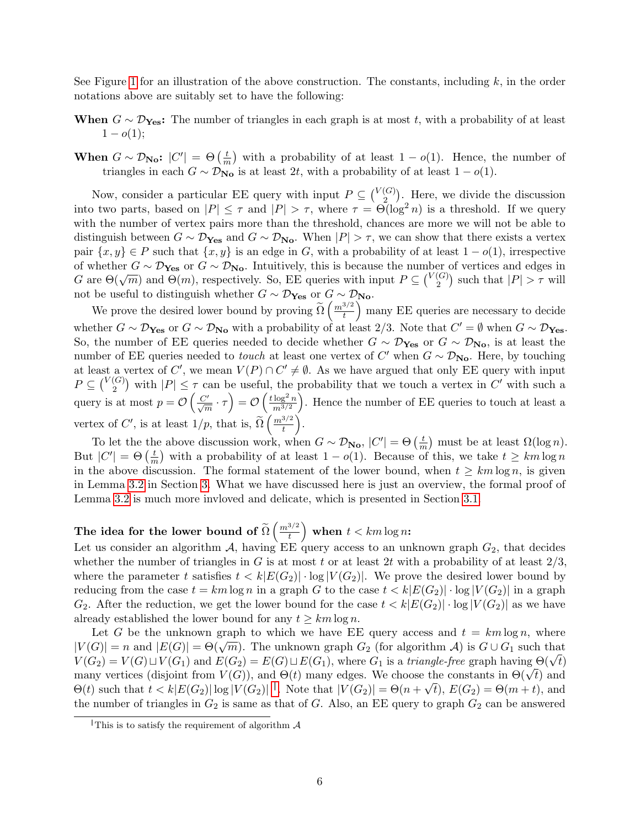See Figure [1](#page-6-3) for an illustration of the above construction. The constants, including  $k$ , in the order notations above are suitably set to have the following:

- When  $G \sim \mathcal{D}_{\text{Yes}}$ : The number of triangles in each graph is at most t, with a probability of at least  $1 - o(1)$ ;
- When  $G \sim \mathcal{D}_{\mathbf{No}}$ :  $|C'| = \Theta\left(\frac{t}{n}\right)$  $\frac{t}{m}$ ) with a probability of at least  $1 - o(1)$ . Hence, the number of triangles in each  $G \sim \mathcal{D}_{\mathbf{No}}$  is at least  $2t$ , with a probability of at least  $1 - o(1)$ .

Now, consider a particular EE query with input  $P \subseteq \binom{V(G)}{2}$  $\binom{G}{2}$ . Here, we divide the discussion into two parts, based on  $|P| \leq \tau$  and  $|P| > \tau$ , where  $\tau = \Theta(\log^2 n)$  is a threshold. If we query with the number of vertex pairs more than the threshold, chances are more we will not be able to distinguish between  $G \sim \mathcal{D}_{\text{Yes}}$  and  $G \sim \mathcal{D}_{\text{No}}$ . When  $|P| > \tau$ , we can show that there exists a vertex pair  $\{x, y\} \in P$  such that  $\{x, y\}$  is an edge in G, with a probability of at least  $1 - o(1)$ , irrespective of whether  $G \sim \mathcal{D}_{\text{Yes}}$  or  $G \sim \mathcal{D}_{\text{No}}$ . Intuitively, this is because the number of vertices and edges in G are  $\Theta(\sqrt{m})$  and  $\Theta(m)$ , respectively. So, EE queries with input  $P \subseteq {V(G) \choose Q}$  $\binom{G}{2}$  such that  $|P| > \tau$  will not be useful to distinguish whether  $G \sim \mathcal{D}_{\text{Yes}}$  or  $G \sim \mathcal{D}_{\text{No}}$ .

We prove the desired lower bound by proving  $\widetilde{\Omega}\left(\frac{m^{3/2}}{t}\right)$  $\left(\frac{3/2}{t}\right)$  many EE queries are necessary to decide whether  $G \sim \mathcal{D}_{\mathbf{Yes}}$  or  $G \sim \mathcal{D}_{\mathbf{No}}$  with a probability of at least 2/3. Note that  $C' = \emptyset$  when  $G \sim \mathcal{D}_{\mathbf{Yes}}$ . So, the number of EE queries needed to decide whether  $G \sim \mathcal{D}_{\text{Yes}}$  or  $G \sim \mathcal{D}_{\text{No}}$ , is at least the number of EE queries needed to *touch* at least one vertex of C' when  $G \sim \mathcal{D}_{\text{No}}$ . Here, by touching at least a vertex of C', we mean  $V(P) \cap C' \neq \emptyset$ . As we have argued that only EE query with input  $P\subseteq\binom{V(G)}{2}$  $\binom{G}{2}$  with  $|P| \leq \tau$  can be useful, the probability that we touch a vertex in C' with such a query is at most  $p = \mathcal{O}\left(\frac{C'}{\sqrt{m}} \cdot \tau\right) = \mathcal{O}\left(\frac{t \log^2 n}{m^{3/2}}\right)$  $m^{3/2}$  . Hence the number of EE queries to touch at least a vertex of  $C'$ , is at least  $1/p$ , that is,  $\widetilde{\Omega}\left(\frac{m^{3/2}}{t}\right)$  $\frac{3/2}{t}$ .

To let the the above discussion work, when  $G \sim \mathcal{D}_{\mathbf{No}}$ ,  $|C'| = \Theta\left(\frac{t}{n}\right)$  $\frac{t}{m}$ ) must be at least  $\Omega(\log n)$ . But  $|C'| = \Theta\left(\frac{t}{n}\right)$  $\frac{t}{m}$ ) with a probability of at least  $1 - o(1)$ . Because of this, we take  $t \geq km \log n$ in the above discussion. The formal statement of the lower bound, when  $t \geq km \log n$ , is given in Lemma [3.2](#page-9-1) in Section [3.](#page-9-0) What we have discussed here is just an overview, the formal proof of Lemma [3.2](#page-9-1) is much more invloved and delicate, which is presented in Section [3.1.](#page-9-2)

#### The idea for the lower bound of  $\widetilde{\Omega}\left(\frac{m^{3/2}}{t}\right)$  $\left(\frac{3/2}{t}\right)$  when  $t < km \log n$ :

Let us consider an algorithm A, having EE query access to an unknown graph  $G_2$ , that decides whether the number of triangles in G is at most t or at least 2t with a probability of at least  $2/3$ , where the parameter t satisfies  $t < k|E(G_2)| \cdot \log |V(G_2)|$ . We prove the desired lower bound by reducing from the case  $t = km \log n$  in a graph G to the case  $t < k \left| E(G_2) \right| \cdot \log |V(G_2)|$  in a graph  $G_2$ . After the reduction, we get the lower bound for the case  $t < k|E(G_2)| \cdot \log |V(G_2)|$  as we have already established the lower bound for any  $t \geq km \log n$ .

Let G be the unknown graph to which we have EE query access and  $t = km \log n$ , where  $|V(G)| = n$  and  $|E(G)| = \Theta(\sqrt{m})$ . The unknown graph  $G_2$  (for algorithm A) is  $G \cup G_1$  such that  $V(G) = n$  and  $|E(G)| = \Theta(\sqrt{n})$ . The unknown graph  $G_2$  (for algorithm  $\mathcal{A}$ ) is  $G \cup G_1$  such that  $V(G_2) = V(G) \sqcup V(G_1)$  and  $E(G_2) = E(G) \sqcup E(G_1)$ , where  $G_1$  is a *triangle-free* graph having  $\Theta(\sqrt{t})$  $V(G_2) = V(G) \sqcup V(G_1)$  and  $E(G_2) = E(G) \sqcup E(G_1)$ , where  $G_1$  is a *trungie-gree* graph naving  $\Theta(\sqrt{t})$ <br>many vertices (disjoint from  $V(G)$ ), and  $\Theta(t)$  many edges. We choose the constants in  $\Theta(\sqrt{t})$  and  $\Theta(t)$  such that  $t < k|E(G_2)| \log |V(G_2)|$ . Note that  $|V(G_2)| = \Theta(n+\sqrt{t}), E(G_2) = \Theta(m+t)$ , and the number of triangles in  $G_2$  is same as that of G. Also, an EE query to graph  $G_2$  can be answered

<span id="page-7-0"></span>This is to satisfy the requirement of algorithm  $\mathcal A$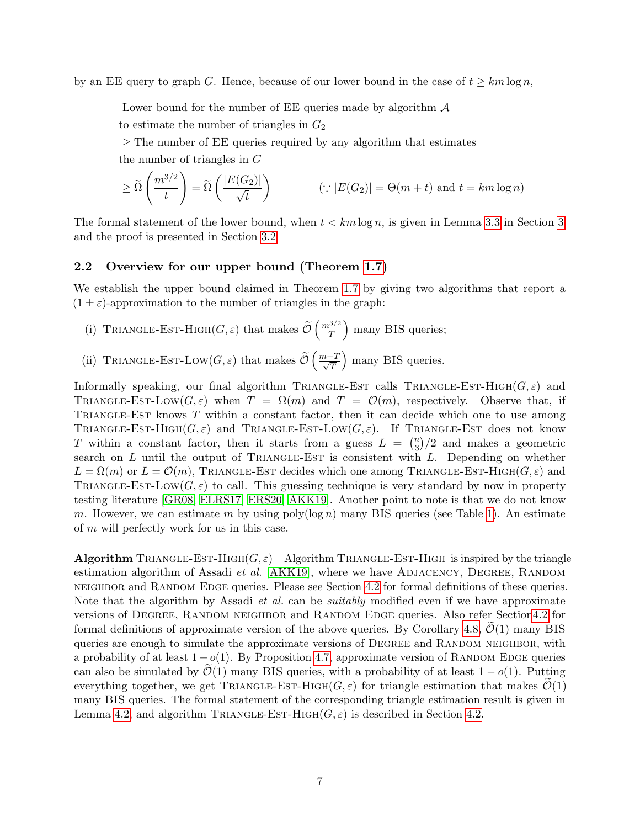by an EE query to graph G. Hence, because of our lower bound in the case of  $t \geq km \log n$ ,

Lower bound for the number of EE queries made by algorithm  $\mathcal A$ 

to estimate the number of triangles in  $G_2$ 

 $\geq$  The number of EE queries required by any algorithm that estimates

the number of triangles in G

$$
\geq \widetilde{\Omega}\left(\frac{m^{3/2}}{t}\right) = \widetilde{\Omega}\left(\frac{|E(G_2)|}{\sqrt{t}}\right) \qquad (\because |E(G_2)| = \Theta(m+t) \text{ and } t = km \log n)
$$

The formal statement of the lower bound, when  $t < km \log n$ , is given in Lemma [3.3](#page-9-3) in Section [3,](#page-9-0) and the proof is presented in Section [3.2.](#page-18-0)

## <span id="page-8-0"></span>2.2 Overview for our upper bound (Theorem [1.7\)](#page-5-2)

We establish the upper bound claimed in Theorem [1.7](#page-5-2) by giving two algorithms that report a  $(1 \pm \varepsilon)$ -approximation to the number of triangles in the graph:

- (i) TRIANGLE-EST-HIGH( $G, \varepsilon$ ) that makes  $\widetilde{\mathcal{O}}\left(\frac{m^{3/2}}{T}\right)$  $\left(\frac{3}{2}\right)$  many BIS queries;
- (ii) TRIANGLE-EST-LOW( $G, \varepsilon$ ) that makes  $\widetilde{\mathcal{O}}\left(\frac{m+T}{\sqrt{T}}\right)$ T ) many BIS queries.

Informally speaking, our final algorithm TRIANGLE-EST calls TRIANGLE-EST-HIGH( $G, \varepsilon$ ) and TRIANGLE-EST-LOW( $G, \varepsilon$ ) when  $T = \Omega(m)$  and  $T = \mathcal{O}(m)$ , respectively. Observe that, if TRIANGLE-EST knows  $T$  within a constant factor, then it can decide which one to use among TRIANGLE-EST-HIGH( $G, \varepsilon$ ) and TRIANGLE-EST-LOW( $G, \varepsilon$ ). If TRIANGLE-EST does not know T within a constant factor, then it starts from a guess  $L = \binom{n}{3}$  $\binom{n}{3}/2$  and makes a geometric search on  $L$  until the output of TRIANGLE-EST is consistent with  $L$ . Depending on whether  $L = \Omega(m)$  or  $L = \mathcal{O}(m)$ , TRIANGLE-EST decides which one among TRIANGLE-EST-HIGH( $G, \varepsilon$ ) and TRIANGLE-EST-LOW( $G, \varepsilon$ ) to call. This guessing technique is very standard by now in property testing literature [\[GR08,](#page-26-2) [ELRS17,](#page-26-7) [ERS20,](#page-26-11) [AKK19\]](#page-25-8). Another point to note is that we do not know m. However, we can estimate m by using poly $(\log n)$  many BIS queries (see Table [1\)](#page-3-0). An estimate of m will perfectly work for us in this case.

**Algorithm** TRIANGLE-EST-HIGH( $G, \varepsilon$ ) Algorithm TRIANGLE-EST-HIGH is inspired by the triangle estimation algorithm of Assadi *et al.* [\[AKK19\]](#page-25-8), where we have ADJACENCY, DEGREE, RANDOM neighbor and Random Edge queries. Please see Section [4.2](#page-21-0) for formal definitions of these queries. Note that the algorithm by Assadi *et al.* can be *suitably* modified even if we have approximate versions of DEGREE, RANDOM NEIGHBOR and RANDOM EDGE queries. Also refer Sectio[n4.2](#page-21-0) for formal definitions of approximate version of the above queries. By Corollary [4.8,](#page-21-1)  $\mathcal{O}(1)$  many BIS queries are enough to simulate the approximate versions of DEGREE and RANDOM NEIGHBOR, with a probability of at least  $1 - o(1)$ . By Proposition [4.7,](#page-21-2) approximate version of RANDOM EDGE queries can also be simulated by  $\mathcal{O}(1)$  many BIS queries, with a probability of at least  $1 - o(1)$ . Putting everything together, we get TRIANGLE-EST-HIGH( $G, \varepsilon$ ) for triangle estimation that makes  $\mathcal{O}(1)$ many BIS queries. The formal statement of the corresponding triangle estimation result is given in Lemma [4.2,](#page-20-1) and algorithm TRIANGLE-EST-HIGH( $G, \varepsilon$ ) is described in Section [4.2.](#page-21-0)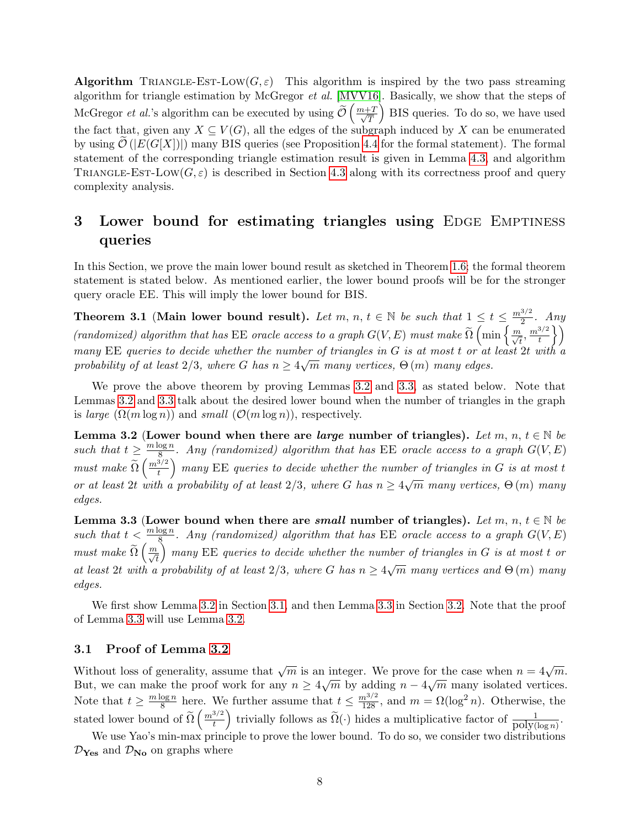**Algorithm** TRIANGLE-EST-LOW( $G, \varepsilon$ ) This algorithm is inspired by the two pass streaming algorithm for triangle estimation by McGregor *et al.* [\[MVV16\]](#page-26-12). Basically, we show that the steps of McGregor *et al.*'s algorithm can be executed by using  $\widetilde{\mathcal{O}}\left(\frac{m+T}{\sqrt{T}}\right)$ T BIS queries. To do so, we have used the fact that, given any  $X \subseteq V(G)$ , all the edges of the subgraph induced by X can be enumerated by using  $\mathcal{O}(|E(G[X])|)$  many BIS queries (see Proposition [4.4](#page-20-3) for the formal statement). The formal statement of the corresponding triangle estimation result is given in Lemma [4.3,](#page-20-2) and algorithm TRIANGLE-EST-LOW( $G, \varepsilon$ ) is described in Section [4.3](#page-22-0) along with its correctness proof and query complexity analysis.

# <span id="page-9-0"></span>3 Lower bound for estimating triangles using EDGE EMPTINESS queries

In this Section, we prove the main lower bound result as sketched in Theorem [1.6;](#page-4-1) the formal theorem statement is stated below. As mentioned earlier, the lower bound proofs will be for the stronger query oracle EE. This will imply the lower bound for BIS.

<span id="page-9-4"></span>Theorem 3.1 (Main lower bound result). Let m, n,  $t \in \mathbb{N}$  be such that  $1 \leq t \leq \frac{m^{3/2}}{2}$  $rac{3}{2}$ . Any (randomized) algorithm that has EE oracle access to a graph  $G(V, E)$  must make  $\widetilde{\Omega} \left( \min \left\{ \frac{m}{\sqrt{t}}, \frac{m^{3/2}}{t} \right\} \right)$  $\left\{\frac{3}{t}\right\}$ many EE queries to decide whether the number of triangles in G is at most t or at least 2t with a probability of at least 2/3, where G has  $n \geq 4\sqrt{m}$  many vertices,  $\Theta(m)$  many edges.

We prove the above theorem by proving Lemmas [3.2](#page-9-1) and [3.3,](#page-9-3) as stated below. Note that Lemmas [3.2](#page-9-1) and [3.3](#page-9-3) talk about the desired lower bound when the number of triangles in the graph is *large*  $(\Omega(m \log n))$  and *small*  $(\mathcal{O}(m \log n))$ , respectively.

<span id="page-9-1"></span>Lemma 3.2 (Lower bound when there are *large* number of triangles). Let m, n,  $t \in \mathbb{N}$  be such that  $t \geq \frac{m \log n}{8}$  $\frac{\log n}{8}$ . Any (randomized) algorithm that has EE oracle access to a graph  $G(V, E)$ must make  $\widetilde{\Omega}\left(\frac{m^{3/2}}{t}\right)$  $\left(\frac{3/2}{t}\right)$  many EE queries to decide whether the number of triangles in G is at most t or at least 2t with a probability of at least 2/3, where G has  $n \geq 4\sqrt{m}$  many vertices,  $\Theta(m)$  many √ edges.

<span id="page-9-3"></span>Lemma 3.3 (Lower bound when there are *small* number of triangles). Let m, n,  $t \in \mathbb{N}$  be such that  $t < \frac{m \log n}{8}$ . Any (randomized) algorithm that has EE oracle access to a graph  $G(V, E)$ must make  $\widetilde{\Omega}\left(\frac{m}{\sqrt{t}}\right)$  $\big)$  many EE queries to decide whether the number of triangles in G is at most t or at least 2t with a probability of at least 2/3, where G has  $n \geq 4\sqrt{m}$  many vertices and  $\Theta(m)$  many √ edges.

We first show Lemma [3.2](#page-9-1) in Section [3.1,](#page-9-2) and then Lemma [3.3](#page-9-3) in Section [3.2.](#page-18-0) Note that the proof of Lemma [3.3](#page-9-3) will use Lemma [3.2.](#page-9-1)

# <span id="page-9-2"></span>3.1 Proof of Lemma [3.2](#page-9-1)

Without loss of generality, assume that  $\sqrt{m}$  is an integer. We prove for the case when  $n = 4\sqrt{m}$ . Without loss of generality, assume that  $\sqrt{m}$  is an integer. We prove for the case when  $n = 4\sqrt{m}$ .<br>But, we can make the proof work for any  $n \ge 4\sqrt{m}$  by adding  $n - 4\sqrt{m}$  many isolated vertices. Note that  $t \geq \frac{m \log n}{8}$  $\frac{\log n}{8}$  here. We further assume that  $t \leq \frac{m^{3/2}}{128}$ , and  $m = \Omega(\log^2 n)$ . Otherwise, the stated lower bound of  $\widetilde{\Omega}\left(\frac{m^{3/2}}{t}\right)$ <sup>3/2</sup>/<sub>t</sub> trivially follows as  $\widetilde{\Omega}(\cdot)$  hides a multiplicative factor of  $\frac{1}{\text{poly}(\log n)}$ .

We use Yao's min-max principle to prove the lower bound. To do so, we consider two distributions  $\mathcal{D}_{\text{Yes}}$  and  $\mathcal{D}_{\text{No}}$  on graphs where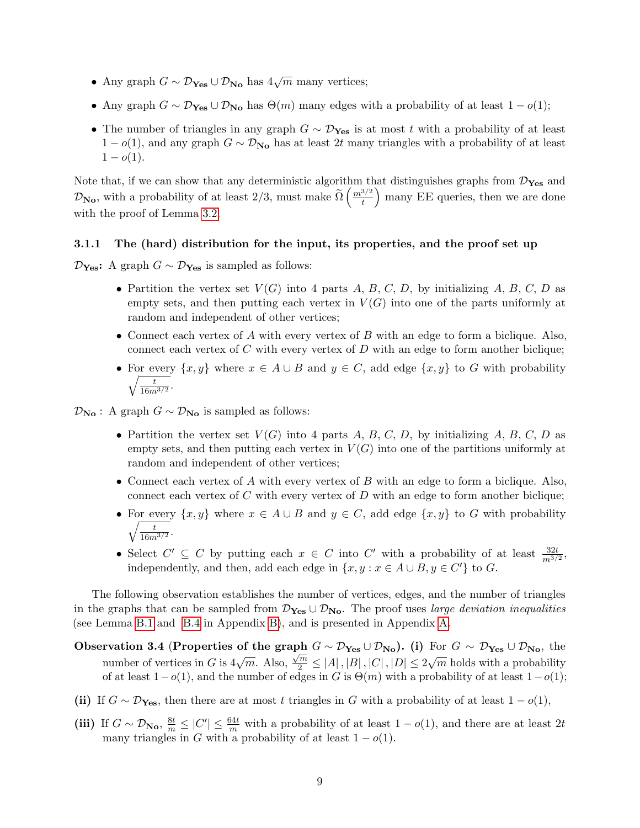- Any graph  $G \sim \mathcal{D}_{\text{Yes}} \cup \mathcal{D}_{\text{No}}$  has  $4\sqrt{m}$  many vertices;
- Any graph  $G \sim \mathcal{D}_{\text{Yes}} \cup \mathcal{D}_{\text{No}}$  has  $\Theta(m)$  many edges with a probability of at least  $1 o(1)$ ;
- The number of triangles in any graph  $G \sim \mathcal{D}_{\text{Yes}}$  is at most t with a probability of at least  $1 - o(1)$ , and any graph  $G \sim \mathcal{D}_{N_{\text{o}}}$  has at least 2t many triangles with a probability of at least  $1 - o(1)$ .

Note that, if we can show that any deterministic algorithm that distinguishes graphs from  $\mathcal{D}_{Yes}$  and  $\mathcal{D}_{\text{No}}$ , with a probability of at least 2/3, must make  $\widetilde{\Omega}\left(\frac{m^{3/2}}{t}\right)$  $\left(\frac{3/2}{t}\right)$  many EE queries, then we are done with the proof of Lemma [3.2.](#page-9-1)

### <span id="page-10-0"></span>3.1.1 The (hard) distribution for the input, its properties, and the proof set up

 $\mathcal{D}_{\text{Yes}}$ : A graph  $G \sim \mathcal{D}_{\text{Yes}}$  is sampled as follows:

- Partition the vertex set  $V(G)$  into 4 parts A, B, C, D, by initializing A, B, C, D as empty sets, and then putting each vertex in  $V(G)$  into one of the parts uniformly at random and independent of other vertices;
- Connect each vertex of  $A$  with every vertex of  $B$  with an edge to form a biclique. Also, connect each vertex of C with every vertex of D with an edge to form another biclique;
- For every  $\{x, y\}$  where  $x \in A \cup B$  and  $y \in C$ , add edge  $\{x, y\}$  to G with probability  $\sqrt{t}$  $\frac{t}{16m^{3/2}}.$

 $\mathcal{D}_{\mathbf{No}}$ : A graph  $G \sim \mathcal{D}_{\mathbf{No}}$  is sampled as follows:

- Partition the vertex set  $V(G)$  into 4 parts A, B, C, D, by initializing A, B, C, D as empty sets, and then putting each vertex in  $V(G)$  into one of the partitions uniformly at random and independent of other vertices;
- Connect each vertex of  $A$  with every vertex of  $B$  with an edge to form a biclique. Also, connect each vertex of C with every vertex of D with an edge to form another biclique;
- For every  $\{x, y\}$  where  $x \in A \cup B$  and  $y \in C$ , add edge  $\{x, y\}$  to G with probability  $\sqrt{t}$  $\frac{t}{16m^{3/2}}.$
- Select  $C' \subseteq C$  by putting each  $x \in C$  into  $C'$  with a probability of at least  $\frac{32t}{m^{3/2}}$ , independently, and then, add each edge in  $\{x, y : x \in A \cup B, y \in C'\}$  to G.

The following observation establishes the number of vertices, edges, and the number of triangles in the graphs that can be sampled from  $\mathcal{D}_{\text{Yes}} \cup \mathcal{D}_{\text{No}}$ . The proof uses large deviation inequalities (see Lemma [B.1](#page-29-1) and [B.4](#page-29-2) in Appendix [B\)](#page-29-0), and is presented in Appendix [A.](#page-27-0)

- Observation 3.4 (Properties of the graph  $G \sim \mathcal{D}_{\text{Yes}} \cup \mathcal{D}_{\text{No}}$ ). (i) For  $G \sim \mathcal{D}_{\text{Yes}} \cup \mathcal{D}_{\text{No}}$ , the number of vertices in G is  $4\sqrt{m}$ . Also,  $\frac{\sqrt{m}}{2} \le |A|, |B|, |C|, |D| \le 2\sqrt{m}$  holds with a probability of at least  $1-o(1)$ , and the number of edges in G is  $\Theta(m)$  with a probability of at least  $1-o(1)$ ;
- (ii) If  $G \sim \mathcal{D}_{\text{Yes}}$ , then there are at most t triangles in G with a probability of at least  $1 o(1)$ ,
- (iii) If  $G \sim \mathcal{D}_{\text{No}}, \frac{8t}{m} \leq |C'| \leq \frac{64t}{m}$  with a probability of at least  $1 o(1)$ , and there are at least  $2t$ many triangles in G with a probability of at least  $1 - o(1)$ .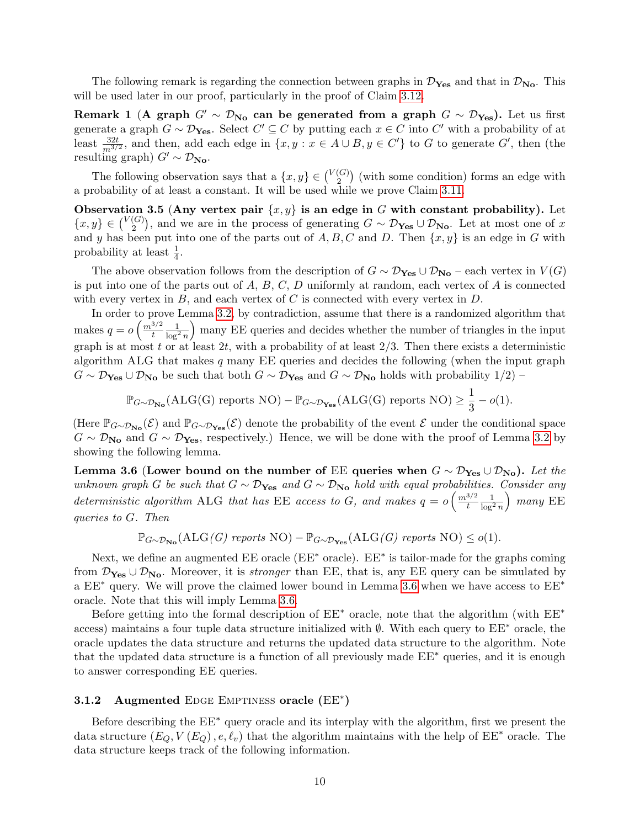The following remark is regarding the connection between graphs in  $\mathcal{D}_{\text{Yes}}$  and that in  $\mathcal{D}_{\text{No}}$ . This will be used later in our proof, particularly in the proof of Claim [3.12.](#page-14-0)

<span id="page-11-2"></span>Remark 1 (A graph  $G' \sim \mathcal{D}_{No}$  can be generated from a graph  $G \sim \mathcal{D}_{Yes}$ ). Let us first generate a graph  $G \sim \mathcal{D}_{\mathbf{Yes}}$ . Select  $C' \subseteq C$  by putting each  $x \in C$  into  $C'$  with a probability of at least  $\frac{32t}{m^{3/2}}$ , and then, add each edge in  $\{x, y : x \in A \cup B, y \in C'\}$  to G to generate G', then (the resulting graph)  $G' \sim \mathcal{D}_{\mathbf{No}}$ .

The following observation says that a  $\{x, y\} \in {V(G) \choose 2}$  $\binom{G}{2}$  (with some condition) forms an edge with a probability of at least a constant. It will be used while we prove Claim [3.11.](#page-14-1)

<span id="page-11-3"></span>Observation 3.5 (Any vertex pair  $\{x, y\}$  is an edge in G with constant probability). Let  ${x, y} \in {V(G) \choose 2}$  $2^{(G)}$ , and we are in the process of generating  $G \sim \mathcal{D}_{\text{Yes}} \cup \mathcal{D}_{\text{No}}$ . Let at most one of x and y has been put into one of the parts out of  $A, B, C$  and D. Then  $\{x, y\}$  is an edge in G with probability at least  $\frac{1}{4}$ .

The above observation follows from the description of  $G \sim \mathcal{D}_{\text{Yes}} \cup \mathcal{D}_{\text{No}}$  – each vertex in  $V(G)$ is put into one of the parts out of  $A, B, C, D$  uniformly at random, each vertex of  $A$  is connected with every vertex in  $B$ , and each vertex of  $C$  is connected with every vertex in  $D$ .

In order to prove Lemma [3.2,](#page-9-1) by contradiction, assume that there is a randomized algorithm that makes  $q = o\left(\frac{m^{3/2}}{t}\right)$ t  $\frac{1}{\log^2 n}$  many EE queries and decides whether the number of triangles in the input graph is at most t or at least 2t, with a probability of at least  $2/3$ . Then there exists a deterministic algorithm ALG that makes  $q$  many EE queries and decides the following (when the input graph  $G \sim \mathcal{D}_{\text{Yes}} \cup \mathcal{D}_{\text{No}}$  be such that both  $G \sim \mathcal{D}_{\text{Yes}}$  and  $G \sim \mathcal{D}_{\text{No}}$  holds with probability  $1/2$ ) –

$$
\mathbb{P}_{G \sim \mathcal{D}_{\mathbf{No}}}(\mathrm{ALG}(\mathrm{G}) \text{ reports NO}) - \mathbb{P}_{G \sim \mathcal{D}_{\mathbf{Yes}}}(\mathrm{ALG}(\mathrm{G}) \text{ reports NO}) \ge \frac{1}{3} - o(1).
$$

(Here  $\mathbb{P}_{G\sim\mathcal{D}_{\mathbf{No}}(\mathcal{E})}$  and  $\mathbb{P}_{G\sim\mathcal{D}_{\mathbf{Yes}}(\mathcal{E})}$  denote the probability of the event  $\mathcal{E}$  under the conditional space  $G \sim \mathcal{D}_{\mathbf{No}}$  and  $G \sim \mathcal{D}_{\mathbf{Yes}}$ , respectively.) Hence, we will be done with the proof of Lemma [3.2](#page-9-1) by showing the following lemma.

<span id="page-11-1"></span>Lemma 3.6 (Lower bound on the number of EE queries when  $G \sim \mathcal{D}_{\text{Yes}} \cup \mathcal{D}_{\text{No}}$ ). Let the unknown graph G be such that  $G \sim \mathcal{D}_{\text{Yes}}$  and  $G \sim \mathcal{D}_{\text{No}}$  hold with equal probabilities. Consider any deterministic algorithm ALG that has EE access to G, and makes  $q = o\left(\frac{m^{3/2}}{t}\right)$ t  $\frac{1}{\log^2 n}$  $\Big)$  many EE queries to G. Then

 $\mathbb{P}_{G \sim \mathcal{D}_{\mathbf{N_o}}}(\text{ALG}(G)$  reports NO) –  $\mathbb{P}_{G \sim \mathcal{D}_{\mathbf{Y_{es}}}}(\text{ALG}(G)$  reports NO)  $\leq o(1)$ .

Next, we define an augmented  $EE$  oracle ( $EE^*$  oracle).  $EE^*$  is tailor-made for the graphs coming from  $\mathcal{D}_{\text{Yes}} \cup \mathcal{D}_{\text{No}}$ . Moreover, it is *stronger* than EE, that is, any EE query can be simulated by a EE<sup>∗</sup> query. We will prove the claimed lower bound in Lemma [3.6](#page-11-1) when we have access to EE<sup>∗</sup> oracle. Note that this will imply Lemma [3.6.](#page-11-1)

Before getting into the formal description of  $EE^*$  oracle, note that the algorithm (with  $EE^*$ access) maintains a four tuple data structure initialized with  $\emptyset$ . With each query to EE<sup>∗</sup> oracle, the oracle updates the data structure and returns the updated data structure to the algorithm. Note that the updated data structure is a function of all previously made  $EE^*$  queries, and it is enough to answer corresponding EE queries.

# <span id="page-11-0"></span>3.1.2 Augmented EDGE EMPTINESS oracle (EE<sup>\*</sup>)

Before describing the EE<sup>∗</sup> query oracle and its interplay with the algorithm, first we present the data structure  $(E_Q, V(E_Q), e, \ell_v)$  that the algorithm maintains with the help of  $EE^*$  oracle. The data structure keeps track of the following information.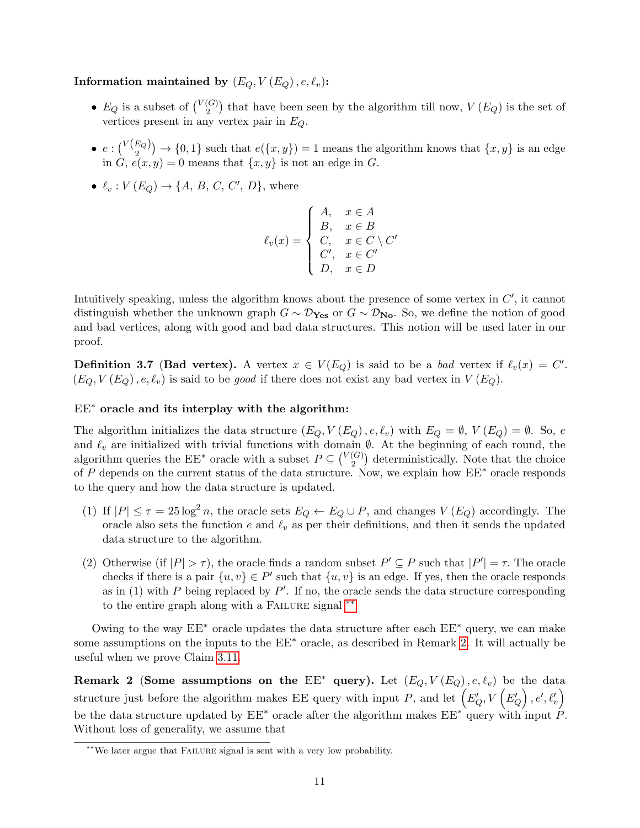### Information maintained by  $(E_Q, V(E_Q), e, \ell_v)$ :

- $E_Q$  is a subset of  $\binom{V(G)}{2}$  $\binom{G}{2}$  that have been seen by the algorithm till now,  $V(E_Q)$  is the set of vertices present in any vertex pair in  $E_Q$ .
- $e: \binom{V(E_Q)}{2} \rightarrow \{0,1\}$  such that  $e(\{x,y\})=1$  means the algorithm knows that  $\{x,y\}$  is an edge in  $G, e(x, y) = 0$  means that  $\{x, y\}$  is not an edge in  $G$ .
- $\ell_v : V(E_Q) \to \{A, B, C, C', D\}$ , where

$$
\ell_v(x) = \begin{cases} A, & x \in A \\ B, & x \in B \\ C, & x \in C \setminus C' \\ C', & x \in C' \\ D, & x \in D \end{cases}
$$

Intuitively speaking, unless the algorithm knows about the presence of some vertex in  $C'$ , it cannot distinguish whether the unknown graph  $G \sim \mathcal{D}_{\text{Yes}}$  or  $G \sim \mathcal{D}_{\text{No}}$ . So, we define the notion of good and bad vertices, along with good and bad data structures. This notion will be used later in our proof.

<span id="page-12-2"></span>**Definition 3.7 (Bad vertex).** A vertex  $x \in V(E_Q)$  is said to be a *bad* vertex if  $\ell_v(x) = C'$ .  $(E_Q, V(E_Q), e, \ell_v)$  is said to be *good* if there does not exist any bad vertex in  $V(E_Q)$ .

### EE<sup>∗</sup> oracle and its interplay with the algorithm:

The algorithm initializes the data structure  $(E_Q, V(E_Q), e, \ell_v)$  with  $E_Q = \emptyset$ ,  $V(E_Q) = \emptyset$ . So, e and  $\ell_v$  are initialized with trivial functions with domain  $\emptyset$ . At the beginning of each round, the algorithm queries the EE<sup>\*</sup> oracle with a subset  $P \subseteq {V(G) \choose 2}$  $\binom{G}{2}$  deterministically. Note that the choice of P depends on the current status of the data structure. Now, we explain how  $EE^*$  oracle responds to the query and how the data structure is updated.

- (1) If  $|P| \leq \tau = 25 \log^2 n$ , the oracle sets  $E_Q \leftarrow E_Q \cup P$ , and changes  $V(E_Q)$  accordingly. The oracle also sets the function e and  $\ell_v$  as per their definitions, and then it sends the updated data structure to the algorithm.
- (2) Otherwise (if  $|P| > \tau$ ), the oracle finds a random subset  $P' \subseteq P$  such that  $|P'| = \tau$ . The oracle checks if there is a pair  $\{u, v\} \in P'$  such that  $\{u, v\}$  is an edge. If yes, then the oracle responds as in (1) with P being replaced by  $P'$ . If no, the oracle sends the data structure corresponding to the entire graph along with a FAILURE signal \*\*.

Owing to the way  $EE^*$  oracle updates the data structure after each  $EE^*$  query, we can make some assumptions on the inputs to the  $EE<sup>∗</sup>$  oracle, as described in Remark [2.](#page-12-1) It will actually be useful when we prove Claim [3.11.](#page-14-1)

<span id="page-12-1"></span>Remark 2 (Some assumptions on the  $EE^*$  query). Let  $(E_Q, V(E_Q), e, \ell_v)$  be the data structure just before the algorithm makes EE query with input P, and let  $(E'_{Q}, V (E'_{Q}), e', \ell'_{v})$ be the data structure updated by  $EE^*$  oracle after the algorithm makes  $EE^*$  query with input  $\hat{P}$ . Without loss of generality, we assume that

<span id="page-12-0"></span><sup>∗∗</sup>We later argue that Failure signal is sent with a very low probability.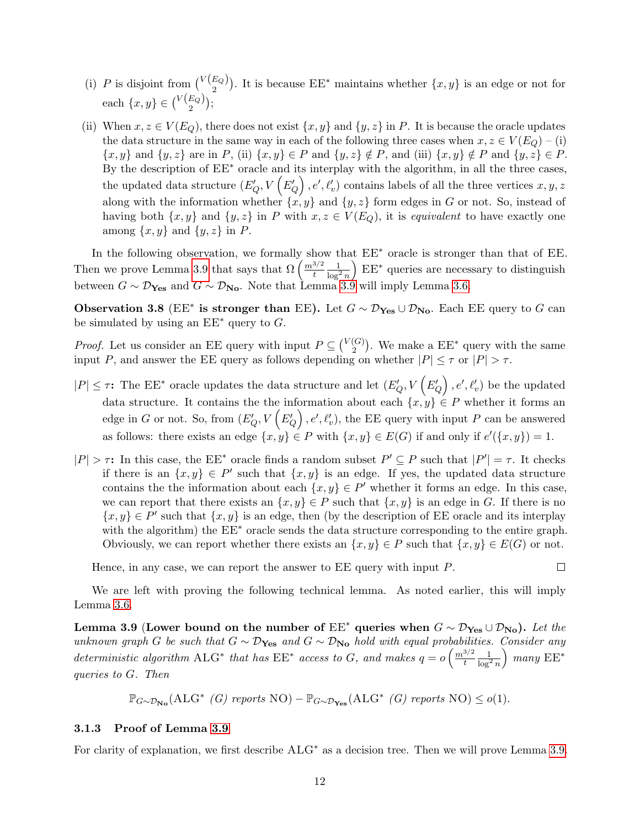- (i) P is disjoint from  $\binom{V(E_Q)}{2}$ . It is because EE<sup>\*</sup> maintains whether  $\{x, y\}$  is an edge or not for each  $\{x, y\} \in {\binom{V(E_Q)}{2}};$
- (ii) When  $x, z \in V(E_Q)$ , there does not exist  $\{x, y\}$  and  $\{y, z\}$  in P. It is because the oracle updates the data structure in the same way in each of the following three cases when  $x, z \in V(E_Q) - (i)$  $\{x, y\}$  and  $\{y, z\}$  are in P, (ii)  $\{x, y\} \in P$  and  $\{y, z\} \notin P$ , and (iii)  $\{x, y\} \notin P$  and  $\{y, z\} \in P$ . By the description of  $EE^*$  oracle and its interplay with the algorithm, in all the three cases, the updated data structure  $(E'_{Q}, V (E'_{Q}), e', \ell'_{v})$  contains labels of all the three vertices  $x, y, z$ along with the information whether  $\{x, y\}$  and  $\{y, z\}$  form edges in G or not. So, instead of having both  $\{x, y\}$  and  $\{y, z\}$  in P with  $x, z \in V(E_Q)$ , it is equivalent to have exactly one among  $\{x, y\}$  and  $\{y, z\}$  in P.

In the following observation, we formally show that  $EE<sup>∗</sup>$  oracle is stronger than that of  $EE$ . Then we prove Lemma [3.9](#page-13-0) that says that  $\Omega\left(\frac{m^{3/2}}{t}\right)$ t  $\frac{1}{\log^2 n}$  EE<sup>∗</sup> queries are necessary to distinguish between  $G \sim \mathcal{D}_{\text{Yes}}$  and  $G \sim \mathcal{D}_{\text{No}}$ . Note that Lemma [3.9](#page-13-0) will imply Lemma [3.6.](#page-11-1)

Observation 3.8 (EE<sup>\*</sup> is stronger than EE). Let  $G \sim \mathcal{D}_{\text{Yes}} \cup \mathcal{D}_{\text{No}}$ . Each EE query to G can be simulated by using an  $EE^*$  query to  $G$ .

*Proof.* Let us consider an EE query with input  $P \subseteq \binom{V(G)}{2}$  $_2^{(G)}$ ). We make a  $EE^*$  query with the same input P, and answer the EE query as follows depending on whether  $|P| \leq \tau$  or  $|P| > \tau$ .

- $|P| \leq \tau$ : The EE<sup>\*</sup> oracle updates the data structure and let  $(E'_Q, V'_Q)$ ,  $e', \ell'_v$  be the updated data structure. It contains the the information about each  $\{x, y\} \in P$  whether it forms an edge in G or not. So, from  $(E'_{Q}, V (E'_{Q}), e', \ell'_{v}),$  the EE query with input P can be answered as follows: there exists an edge  $\{x, y\} \in P$  with  $\{x, y\} \in E(G)$  if and only if  $e'(\{x, y\}) = 1$ .
- $|P| > \tau$ : In this case, the EE<sup>\*</sup> oracle finds a random subset  $P' \subseteq P$  such that  $|P'| = \tau$ . It checks if there is an  $\{x, y\} \in P'$  such that  $\{x, y\}$  is an edge. If yes, the updated data structure contains the the information about each  $\{x, y\} \in P'$  whether it forms an edge. In this case, we can report that there exists an  $\{x, y\} \in P$  such that  $\{x, y\}$  is an edge in G. If there is no  $\{x, y\} \in P'$  such that  $\{x, y\}$  is an edge, then (by the description of EE oracle and its interplay with the algorithm) the  $EE^*$  oracle sends the data structure corresponding to the entire graph. Obviously, we can report whether there exists an  $\{x, y\} \in P$  such that  $\{x, y\} \in E(G)$  or not.

Hence, in any case, we can report the answer to  $EE$  query with input  $P$ .

 $\Box$ 

We are left with proving the following technical lemma. As noted earlier, this will imply Lemma [3.6.](#page-11-1)

<span id="page-13-0"></span>Lemma 3.9 (Lower bound on the number of  $EE^*$  queries when  $G \sim \mathcal{D}_{\text{Yes}} \cup \mathcal{D}_{\text{No}}$ ). Let the unknown graph G be such that  $G \sim \mathcal{D}_{\text{Yes}}$  and  $G \sim \mathcal{D}_{\text{No}}$  hold with equal probabilities. Consider any deterministic algorithm ALG<sup>\*</sup> that has  $EE^*$  access to G, and makes  $q = o\left(\frac{m^{3/2}}{t}\right)$ t  $\frac{1}{\log^2 n}$ ) many  $EE^*$ queries to G. Then

 $\mathbb{P}_{G \sim \mathcal{D}_{\mathbf{No}}}(\mathbf{ALG}^* \mid G)$  reports  $\mathbf{NO}) - \mathbb{P}_{G \sim \mathcal{D}_{\mathbf{Yes}}}(\mathbf{ALG}^* \mid G)$  reports  $\mathbf{NO}) \leq o(1)$ .

#### <span id="page-13-1"></span>3.1.3 Proof of Lemma [3.9](#page-13-0)

For clarity of explanation, we first describe ALG<sup>∗</sup> as a decision tree. Then we will prove Lemma [3.9.](#page-13-0)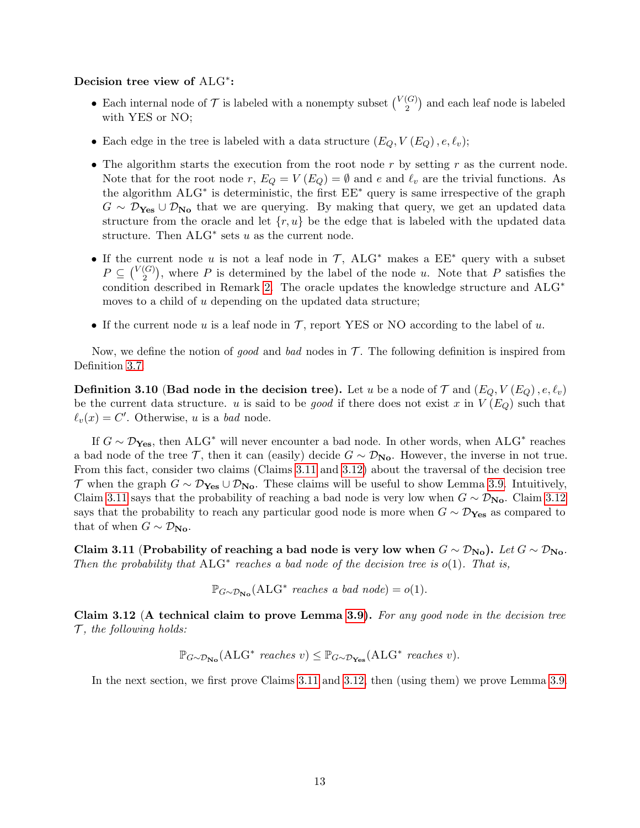# Decision tree view of ALG<sup>\*</sup>:

- Each internal node of  $\mathcal T$  is labeled with a nonempty subset  $\binom{V(G)}{2}$  $\binom{G}{2}$  and each leaf node is labeled with YES or NO;
- Each edge in the tree is labeled with a data structure  $(E_Q, V(E_Q), e, \ell_v);$
- The algorithm starts the execution from the root node  $r$  by setting  $r$  as the current node. Note that for the root node r,  $E_Q = V(E_Q) = \emptyset$  and e and  $\ell_v$  are the trivial functions. As the algorithm ALG<sup>∗</sup> is deterministic, the first EE<sup>∗</sup> query is same irrespective of the graph  $G \sim \mathcal{D}_{\text{Yes}} \cup \mathcal{D}_{\text{No}}$  that we are querying. By making that query, we get an updated data structure from the oracle and let  $\{r, u\}$  be the edge that is labeled with the updated data structure. Then  $ALG^*$  sets u as the current node.
- If the current node u is not a leaf node in  $\mathcal{T}$ , ALG<sup>\*</sup> makes a  $EE^*$  query with a subset  $P \subseteq \binom{V(G)}{2}$  $\binom{G}{2}$ , where P is determined by the label of the node u. Note that P satisfies the condition described in Remark [2.](#page-12-1) The oracle updates the knowledge structure and ALG<sup>∗</sup> moves to a child of u depending on the updated data structure;
- If the current node u is a leaf node in  $\mathcal T$ , report YES or NO according to the label of u.

Now, we define the notion of good and bad nodes in  $\mathcal T$ . The following definition is inspired from Definition [3.7.](#page-12-2)

<span id="page-14-2"></span>**Definition 3.10 (Bad node in the decision tree).** Let u be a node of  $\mathcal{T}$  and  $(E_Q, V(E_Q), e, \ell_v)$ be the current data structure. u is said to be good if there does not exist x in  $V(E_Q)$  such that  $\ell_v(x) = C'$ . Otherwise, u is a bad node.

If  $G \sim \mathcal{D}_{\mathbf{Yes}}$ , then  $\mathrm{ALG}^*$  will never encounter a bad node. In other words, when  $\mathrm{ALG}^*$  reaches a bad node of the tree T, then it can (easily) decide  $G \sim \mathcal{D}_{N_{\text{O}}}$ . However, the inverse in not true. From this fact, consider two claims (Claims [3.11](#page-14-1) and [3.12\)](#page-14-0) about the traversal of the decision tree T when the graph  $G \sim \mathcal{D}_{\text{Yes}} \cup \mathcal{D}_{\text{No}}$ . These claims will be useful to show Lemma [3.9.](#page-13-0) Intuitively, Claim [3.11](#page-14-1) says that the probability of reaching a bad node is very low when  $G \sim \mathcal{D}_{\text{No}}$ . Claim [3.12](#page-14-0) says that the probability to reach any particular good node is more when  $G \sim \mathcal{D}_{\text{Yes}}$  as compared to that of when  $G \sim \mathcal{D}_{\mathbf{No}}$ .

<span id="page-14-1"></span>Claim 3.11 (Probability of reaching a bad node is very low when  $G \sim \mathcal{D}_{\text{No}}$ ). Let  $G \sim \mathcal{D}_{\text{No}}$ . Then the probability that  $ALG^*$  reaches a bad node of the decision tree is  $o(1)$ . That is,

 $\mathbb{P}_{G \sim \mathcal{D}_{\mathbf{No}}}(\mathbf{ALG}^* \text{ reaches a bad node}) = o(1).$ 

<span id="page-14-0"></span>Claim 3.12 (A technical claim to prove Lemma [3.9\)](#page-13-0). For any good node in the decision tree  $\mathcal{T}$ , the following holds:

$$
\mathbb{P}_{G \sim \mathcal{D}_{\mathbf{No}}}(\mathbf{ALG}^* \ \text{reaches} \ v) \leq \mathbb{P}_{G \sim \mathcal{D}_{\mathbf{Yes}}}(\mathbf{ALG}^* \ \text{reaches} \ v).
$$

In the next section, we first prove Claims [3.11](#page-14-1) and [3.12,](#page-14-0) then (using them) we prove Lemma [3.9.](#page-13-0)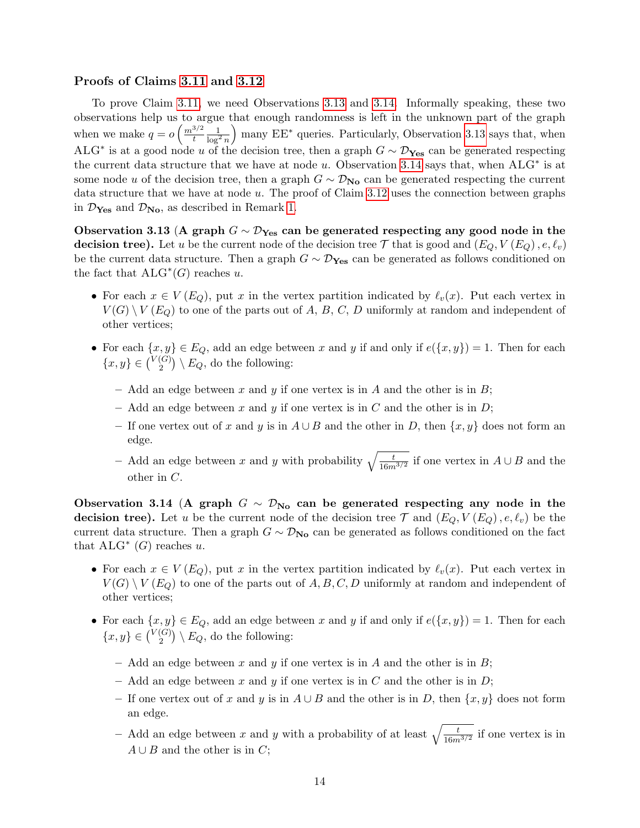#### Proofs of Claims [3.11](#page-14-1) and [3.12](#page-14-0)

To prove Claim [3.11,](#page-14-1) we need Observations [3.13](#page-15-0) and [3.14.](#page-15-1) Informally speaking, these two observations help us to argue that enough randomness is left in the unknown part of the graph when we make  $q = o\left(\frac{m^{3/2}}{t}\right)$ t  $\frac{1}{\log^2 n}$  many EE<sup>∗</sup> queries. Particularly, Observation [3.13](#page-15-0) says that, when ALG<sup>\*</sup> is at a good node u of the decision tree, then a graph  $G \sim \mathcal{D}_{\text{Yes}}$  can be generated respecting the current data structure that we have at node u. Observation [3.14](#page-15-1) says that, when  $ALG^*$  is at some node u of the decision tree, then a graph  $G \sim \mathcal{D}_{\mathbf{No}}$  can be generated respecting the current data structure that we have at node u. The proof of Claim [3.12](#page-14-0) uses the connection between graphs in  $\mathcal{D}_{\text{Yes}}$  and  $\mathcal{D}_{\text{No}}$ , as described in Remark [1.](#page-11-2)

<span id="page-15-0"></span>Observation 3.13 (A graph  $G \sim \mathcal{D}_{\mathbf{Yes}}$  can be generated respecting any good node in the **decision tree).** Let u be the current node of the decision tree  $\mathcal{T}$  that is good and  $(E_Q, V(E_Q), e, \ell_v)$ be the current data structure. Then a graph  $G \sim \mathcal{D}_{\text{Yes}}$  can be generated as follows conditioned on the fact that  $ALG^*(G)$  reaches u.

- For each  $x \in V(E_Q)$ , put x in the vertex partition indicated by  $\ell_v(x)$ . Put each vertex in  $V(G) \setminus V(E_G)$  to one of the parts out of A, B, C, D uniformly at random and independent of other vertices;
- For each  $\{x, y\} \in E_Q$ , add an edge between x and y if and only if  $e(\{x, y\}) = 1$ . Then for each  ${x, y} \in {V(G) \choose 2}$  $\binom{G}{2}$   $\setminus E_Q$ , do the following:
	- Add an edge between x and y if one vertex is in A and the other is in  $B$ ;
	- Add an edge between x and y if one vertex is in C and the other is in  $D$ ;
	- If one vertex out of x and y is in  $A \cup B$  and the other in D, then  $\{x, y\}$  does not form an edge.
	- $-$  Add an edge between x and y with probability  $\sqrt{\frac{t}{16m^{3/2}}}$  if one vertex in  $A ∪ B$  and the other in C.

<span id="page-15-1"></span>Observation 3.14 (A graph  $G \sim \mathcal{D}_{N_{\mathbf{O}}}$  can be generated respecting any node in the decision tree). Let u be the current node of the decision tree  $\mathcal T$  and  $(E_Q, V(E_Q), e, \ell_v)$  be the current data structure. Then a graph  $G \sim \mathcal{D}_{N_{\mathbf{O}}}$  can be generated as follows conditioned on the fact that  $ALG^*$  (G) reaches u.

- For each  $x \in V(E_Q)$ , put x in the vertex partition indicated by  $\ell_v(x)$ . Put each vertex in  $V(G) \setminus V(E_G)$  to one of the parts out of A, B, C, D uniformly at random and independent of other vertices;
- For each  $\{x, y\} \in E_Q$ , add an edge between x and y if and only if  $e(\{x, y\}) = 1$ . Then for each  ${x, y} \in {V(G) \choose 2}$  $\binom{G}{2}$   $\setminus E_Q$ , do the following:
	- Add an edge between x and y if one vertex is in A and the other is in  $B$ ;
	- Add an edge between x and y if one vertex is in C and the other is in  $D$ ;
	- If one vertex out of x and y is in  $A \cup B$  and the other is in D, then  $\{x, y\}$  does not form an edge.
	- Add an edge between x and y with a probability of at least  $\sqrt{\frac{t}{16m^{3/2}}}$  if one vertex is in  $A \cup B$  and the other is in C;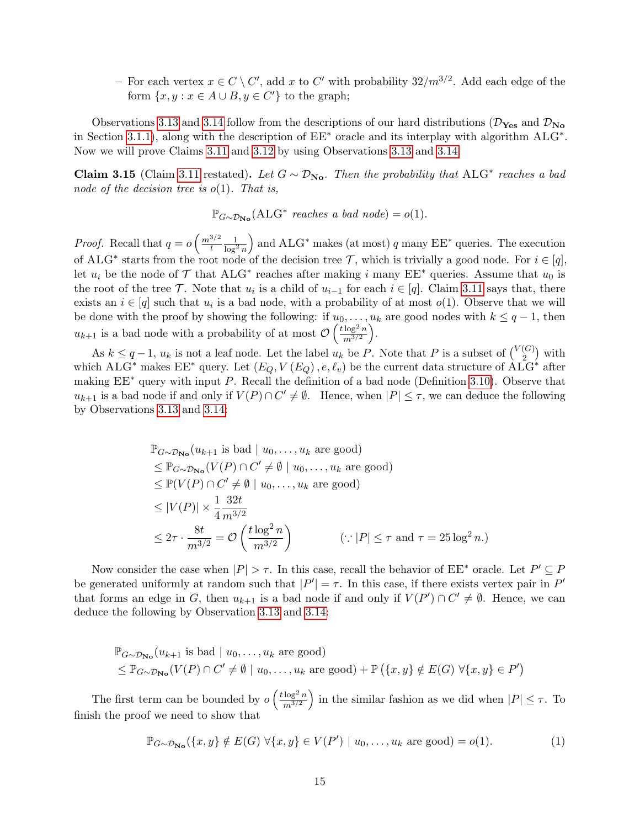− For each vertex  $x \in C \setminus C'$ , add x to  $C'$  with probability  $32/m^{3/2}$ . Add each edge of the form  $\{x, y : x \in A \cup B, y \in C'\}$  to the graph;

Observations [3.13](#page-15-0) and [3.14](#page-15-1) follow from the descriptions of our hard distributions ( $\mathcal{D}_{\text{Yes}}$  and  $\mathcal{D}_{\text{No}}$ ) in Section [3.1.1\)](#page-10-0), along with the description of EE<sup>∗</sup> oracle and its interplay with algorithm ALG<sup>∗</sup> . Now we will prove Claims [3.11](#page-14-1) and [3.12](#page-14-0) by using Observations [3.13](#page-15-0) and [3.14.](#page-15-1)

Claim 3.15 (Claim [3.11](#page-14-1) restated). Let  $G \sim \mathcal{D}_{\text{No}}$ . Then the probability that ALG<sup>\*</sup> reaches a bad node of the decision tree is  $o(1)$ . That is,

 $\mathbb{P}_{G \sim \mathcal{D}_{\mathbf{No}}}(\mathbf{ALG}^* \text{ reaches a bad node}) = o(1).$ 

*Proof.* Recall that  $q = o\left(\frac{m^{3/2}}{l}\right)$ t  $\frac{1}{\log^2 n}$ ) and  $ALG^*$  makes (at most) q many  $EE^*$  queries. The execution of ALG<sup>\*</sup> starts from the root node of the decision tree T, which is trivially a good node. For  $i \in [q]$ , let  $u_i$  be the node of  $\mathcal T$  that ALG<sup>\*</sup> reaches after making i many EE<sup>\*</sup> queries. Assume that  $u_0$  is the root of the tree  $\mathcal T$ . Note that  $u_i$  is a child of  $u_{i-1}$  for each  $i \in [q]$ . Claim [3.11](#page-14-1) says that, there exists an  $i \in [q]$  such that  $u_i$  is a bad node, with a probability of at most  $o(1)$ . Observe that we will be done with the proof by showing the following: if  $u_0, \ldots, u_k$  are good nodes with  $k \leq q-1$ , then  $u_{k+1}$  is a bad node with a probability of at most  $\mathcal{O}\left(\frac{t\log^2 n}{m^{3/2}}\right)$  $m^{3/2}$ .

As  $k \leq q-1$ ,  $u_k$  is not a leaf node. Let the label  $u_k$  be P. Note that P is a subset of  $\binom{V(G)}{2}$  $\binom{G}{2}$  with which ALG<sup>\*</sup> makes  $EE^*$  query. Let  $(E_Q, V(E_Q), e, \ell_v)$  be the current data structure of  $\hat{\text{ALG}}^*$  after making  $EE^*$  query with input P. Recall the definition of a bad node (Definition [3.10\)](#page-14-2). Observe that  $u_{k+1}$  is a bad node if and only if  $V(P) \cap C' \neq \emptyset$ . Hence, when  $|P| \leq \tau$ , we can deduce the following by Observations [3.13](#page-15-0) and [3.14:](#page-15-1)

$$
\mathbb{P}_{G \sim \mathcal{D}_{\mathbf{No}}}(u_{k+1} \text{ is bad} \mid u_0, \dots, u_k \text{ are good})
$$
\n
$$
\leq \mathbb{P}_{G \sim \mathcal{D}_{\mathbf{No}}}(V(P) \cap C' \neq \emptyset \mid u_0, \dots, u_k \text{ are good})
$$
\n
$$
\leq \mathbb{P}(V(P) \cap C' \neq \emptyset \mid u_0, \dots, u_k \text{ are good})
$$
\n
$$
\leq |V(P)| \times \frac{1}{4} \frac{32t}{m^{3/2}}
$$
\n
$$
\leq 2\tau \cdot \frac{8t}{m^{3/2}} = \mathcal{O}\left(\frac{t \log^2 n}{m^{3/2}}\right) \qquad (\because |P| \leq \tau \text{ and } \tau = 25 \log^2 n.)
$$

Now consider the case when  $|P| > \tau$ . In this case, recall the behavior of  $EE^*$  oracle. Let  $P' \subseteq P$ be generated uniformly at random such that  $|P'| = \tau$ . In this case, if there exists vertex pair in P' that forms an edge in G, then  $u_{k+1}$  is a bad node if and only if  $V(P') \cap C' \neq \emptyset$ . Hence, we can deduce the following by Observation [3.13](#page-15-0) and [3.14:](#page-15-1)

$$
\mathbb{P}_{G \sim \mathcal{D}_{\mathbf{No}}}(u_{k+1} \text{ is bad } | u_0, \dots, u_k \text{ are good})
$$
  

$$
\leq \mathbb{P}_{G \sim \mathcal{D}_{\mathbf{No}}}(V(P) \cap C' \neq \emptyset | u_0, \dots, u_k \text{ are good}) + \mathbb{P}(\{x, y\} \notin E(G) \ \forall \{x, y\} \in P')
$$

The first term can be bounded by  $o\left(\frac{t\log^2 n}{m^{3/2}}\right)$  $m^{3/2}$ in the similar fashion as we did when  $|P| \leq \tau$ . To finish the proof we need to show that

<span id="page-16-0"></span>
$$
\mathbb{P}_{G \sim \mathcal{D}_{\mathbf{No}}}(\{x, y\} \notin E(G) \,\forall \{x, y\} \in V(P') \mid u_0, \dots, u_k \text{ are good}) = o(1). \tag{1}
$$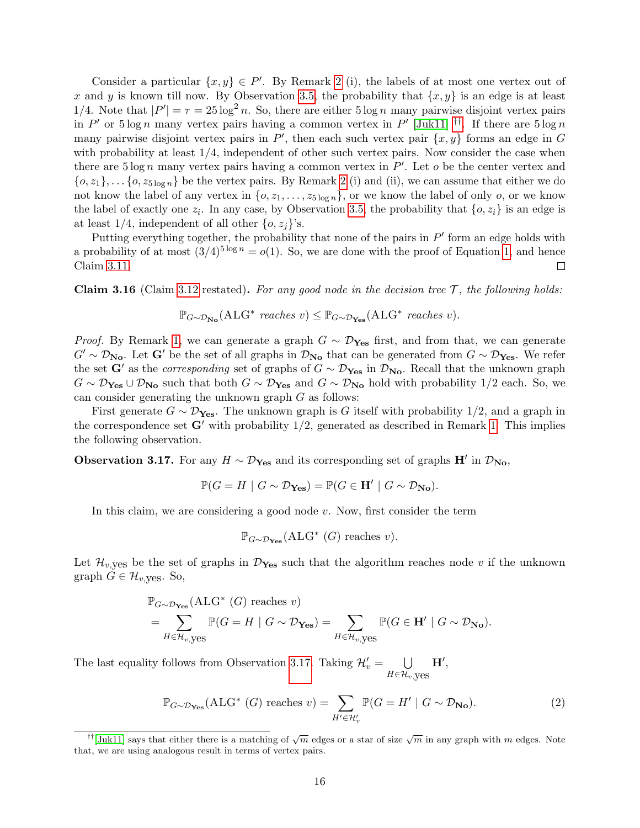Consider a particular  $\{x, y\} \in P'$ . By Remark [2](#page-12-1) (i), the labels of at most one vertex out of x and y is known till now. By Observation [3.5,](#page-11-3) the probability that  $\{x, y\}$  is an edge is at least 1/4. Note that  $|P'| = \tau = 25 \log^2 n$ . So, there are either  $5 \log n$  many pairwise disjoint vertex pairs in P' or  $5 \log n$  many vertex pairs having a common vertex in P' [\[Juk11\]](#page-26-13) <sup>[††](#page-17-0)</sup>. If there are  $5 \log n$ many pairwise disjoint vertex pairs in  $P'$ , then each such vertex pair  $\{x, y\}$  forms an edge in G with probability at least 1/4, independent of other such vertex pairs. Now consider the case when there are  $5 \log n$  many vertex pairs having a common vertex in  $P'$ . Let  $o$  be the center vertex and  ${o, z_1}, \ldots, {o, z_{5 \log n}}$  be the vertex pairs. By Remark [2](#page-12-1) (i) and (ii), we can assume that either we do not know the label of any vertex in  $\{0, z_1, \ldots, z_{5 \log n}\}\)$ , or we know the label of only  $o$ , or we know the label of exactly one  $z_i$ . In any case, by Observation [3.5,](#page-11-3) the probability that  $\{o, z_i\}$  is an edge is at least 1/4, independent of all other  $\{o, z_j\}'$ s.

Putting everything together, the probability that none of the pairs in  $P'$  form an edge holds with a probability of at most  $(3/4)^{5 \log n} = o(1)$ . So, we are done with the proof of Equation [1,](#page-16-0) and hence Claim [3.11.](#page-14-1)  $\Box$ 

**Claim 3.16** (Claim [3.12](#page-14-0) restated). For any good node in the decision tree  $\mathcal{T}$ , the following holds:

$$
\mathbb{P}_{G \sim \mathcal{D}_{\mathbf{No}}}(\mathbf{ALG}^* \ \text{reaches} \ v) \leq \mathbb{P}_{G \sim \mathcal{D}_{\mathbf{Yes}}}(\mathbf{ALG}^* \ \text{reaches} \ v).
$$

*Proof.* By Remark [1,](#page-11-2) we can generate a graph  $G \sim \mathcal{D}_{\text{Yes}}$  first, and from that, we can generate  $G' \sim \mathcal{D}_{\mathbf{No}}$ . Let  $\mathbf{G}'$  be the set of all graphs in  $\mathcal{D}_{\mathbf{No}}$  that can be generated from  $G \sim \mathcal{D}_{\mathbf{Yes}}$ . We refer the set G' as the *corresponding* set of graphs of  $G \sim \mathcal{D}_{\text{Yes}}$  in  $\mathcal{D}_{\text{No}}$ . Recall that the unknown graph  $G \sim \mathcal{D}_{\text{Yes}} \cup \mathcal{D}_{\text{No}}$  such that both  $G \sim \mathcal{D}_{\text{Yes}}$  and  $G \sim \mathcal{D}_{\text{No}}$  hold with probability 1/2 each. So, we can consider generating the unknown graph  $G$  as follows:

First generate  $G \sim \mathcal{D}_{\text{Yes}}$ . The unknown graph is G itself with probability 1/2, and a graph in the correspondence set  $G'$  with probability  $1/2$ , generated as described in Remark [1.](#page-11-2) This implies the following observation.

<span id="page-17-1"></span>Observation 3.17. For any  $H \sim \mathcal{D}_{\text{Yes}}$  and its corresponding set of graphs  $H'$  in  $\mathcal{D}_{\text{No}}$ ,

$$
\mathbb{P}(G = H \mid G \sim \mathcal{D}_{\text{Yes}}) = \mathbb{P}(G \in \text{H}' \mid G \sim \mathcal{D}_{\text{No}}).
$$

In this claim, we are considering a good node  $v$ . Now, first consider the term

$$
\mathbb{P}_{G \sim \mathcal{D}_{\mathbf{Yes}}}(ALG^*(G) \text{ reaches } v).
$$

Let  $\mathcal{H}_{v,\text{yes}}$  be the set of graphs in  $\mathcal{D}_{\text{Yes}}$  such that the algorithm reaches node v if the unknown graph  $G \in \mathcal{H}_{v,\text{yes}}$ . So,

$$
\mathbb{P}_{G \sim \mathcal{D}_{\mathbf{Yes}}}(ALG^* (G) \text{ reaches } v)
$$
  
= 
$$
\sum_{H \in \mathcal{H}_v, \text{yes}} \mathbb{P}(G = H \mid G \sim \mathcal{D}_{\mathbf{Yes}}) = \sum_{H \in \mathcal{H}_v, \text{yes}} \mathbb{P}(G \in \mathbf{H'} \mid G \sim \mathcal{D}_{\mathbf{No}}).
$$

The last equality follows from Observation [3.17.](#page-17-1) Taking  $\mathcal{H}'_v = \bigcup$  $H \in \mathcal{H}_{v,\text{yes}}$  $\mathbf{H}',$ 

<span id="page-17-2"></span>
$$
\mathbb{P}_{G \sim \mathcal{D}_{\mathbf{Yes}}}(ALG^*(G) \text{ reaches } v) = \sum_{H' \in \mathcal{H}'_v} \mathbb{P}(G = H' \mid G \sim \mathcal{D}_{\mathbf{No}}). \tag{2}
$$

<span id="page-17-0"></span><sup>&</sup>lt;sup>††</sup>[\[Juk11\]](#page-26-13) says that either there is a matching of  $\sqrt{m}$  edges or a star of size  $\sqrt{m}$  in any graph with m edges. Note that, we are using analogous result in terms of vertex pairs.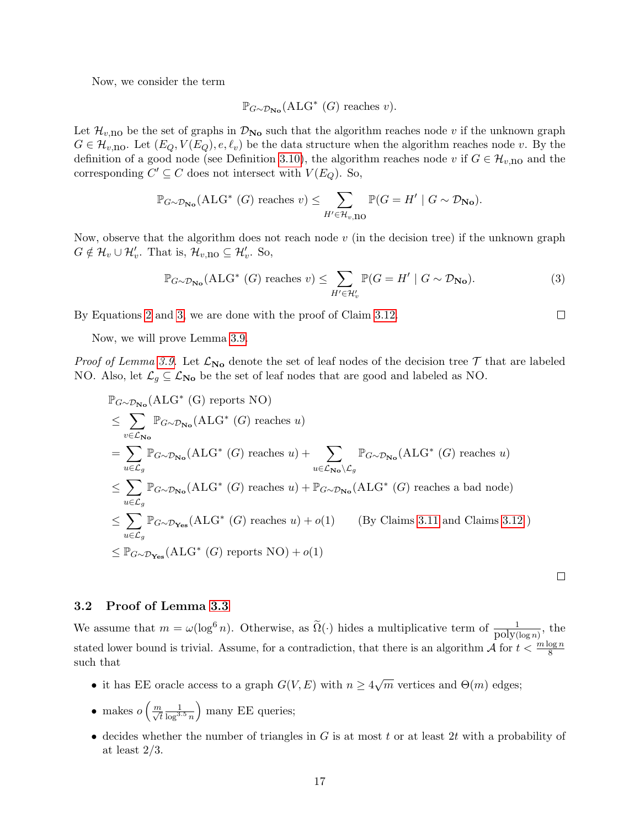Now, we consider the term

$$
\mathbb{P}_{G \sim \mathcal{D}_{\mathbf{No}}}(\mathbf{ALG}^* (G) \text{ reaches } v).
$$

Let  $\mathcal{H}_{v,\text{no}}$  be the set of graphs in  $\mathcal{D}_{\text{No}}$  such that the algorithm reaches node v if the unknown graph  $G \in \mathcal{H}_{v, \text{no}}$ . Let  $(E_Q, V(E_Q), e, \ell_v)$  be the data structure when the algorithm reaches node v. By the definition of a good node (see Definition [3.10\)](#page-14-2), the algorithm reaches node v if  $G \in \mathcal{H}_{v,no}$  and the corresponding  $C' \subseteq C$  does not intersect with  $V(E_Q)$ . So,

$$
\mathbb{P}_{G \sim \mathcal{D}_{\mathbf{No}}}(\mathbf{ALG}^* \ (G) \ \text{reaches} \ v) \leq \sum_{H' \in \mathcal{H}_{v, \mathbf{IO}}} \mathbb{P}(G = H' \mid G \sim \mathcal{D}_{\mathbf{No}}).
$$

Now, observe that the algorithm does not reach node  $v$  (in the decision tree) if the unknown graph  $G \notin \mathcal{H}_v \cup \mathcal{H}'_v$ . That is,  $\mathcal{H}_{v,no} \subseteq \mathcal{H}'_v$ . So,

<span id="page-18-1"></span>
$$
\mathbb{P}_{G \sim \mathcal{D}_{\mathbf{No}}}(\mathbf{ALG}^*(G) \text{ reaches } v) \le \sum_{H' \in \mathcal{H}'_v} \mathbb{P}(G = H' \mid G \sim \mathcal{D}_{\mathbf{No}}). \tag{3}
$$

By Equations [2](#page-17-2) and [3,](#page-18-1) we are done with the proof of Claim [3.12.](#page-14-0)

Now, we will prove Lemma [3.9.](#page-13-0)

*Proof of Lemma [3.9.](#page-13-0)* Let  $\mathcal{L}_{\text{No}}$  denote the set of leaf nodes of the decision tree  $\mathcal{T}$  that are labeled NO. Also, let  $\mathcal{L}_g \subseteq \mathcal{L}_{\mathbf{No}}$  be the set of leaf nodes that are good and labeled as NO.

$$
\mathbb{P}_{G \sim \mathcal{D}_{\mathbf{No}}}(\text{ALG}^*(G) \text{ reports NO})
$$
\n
$$
\leq \sum_{v \in \mathcal{L}_{\mathbf{No}}} \mathbb{P}_{G \sim \mathcal{D}_{\mathbf{No}}}(\text{ALG}^*(G) \text{ reaches } u)
$$
\n
$$
= \sum_{u \in \mathcal{L}_g} \mathbb{P}_{G \sim \mathcal{D}_{\mathbf{No}}}(\text{ALG}^*(G) \text{ reaches } u) + \sum_{u \in \mathcal{L}_{\mathbf{No}} \backslash \mathcal{L}_g} \mathbb{P}_{G \sim \mathcal{D}_{\mathbf{No}}}(\text{ALG}^*(G) \text{ reaches } u)
$$
\n
$$
\leq \sum_{u \in \mathcal{L}_g} \mathbb{P}_{G \sim \mathcal{D}_{\mathbf{No}}}(\text{ALG}^*(G) \text{ reaches } u) + \mathbb{P}_{G \sim \mathcal{D}_{\mathbf{No}}}(\text{ALG}^*(G) \text{ reaches a bad node})
$$
\n
$$
\leq \sum_{u \in \mathcal{L}_g} \mathbb{P}_{G \sim \mathcal{D}_{\mathbf{Yes}}}(\text{ALG}^*(G) \text{ reaches } u) + o(1) \qquad \text{(By Clains 3.11 and Clains 3.12)}
$$
\n
$$
\leq \mathbb{P}_{G \sim \mathcal{D}_{\mathbf{Yes}}}(\text{ALG}^*(G) \text{ reports NO}) + o(1)
$$

## <span id="page-18-0"></span>3.2 Proof of Lemma [3.3](#page-9-3)

We assume that  $m = \omega(\log^6 n)$ . Otherwise, as  $\widetilde{\Omega}(\cdot)$  hides a multiplicative term of  $\frac{1}{\text{poly}(\log n)}$ , the stated lower bound is trivial. Assume, for a contradiction, that there is an algorithm  $\mathcal A$  for  $t < \frac{m \log n}{8}$ such that

- it has EE oracle access to a graph  $G(V, E)$  with  $n \geq 4\sqrt{m}$  vertices and  $\Theta(m)$  edges;
- makes  $o\left(\frac{m}{\sqrt{t}}\right)$  $\frac{1}{\log^{3.5} n}$ ) many EE queries;
- decides whether the number of triangles in  $G$  is at most  $t$  or at least  $2t$  with a probability of at least  $2/3$ .

 $\Box$ 

 $\Box$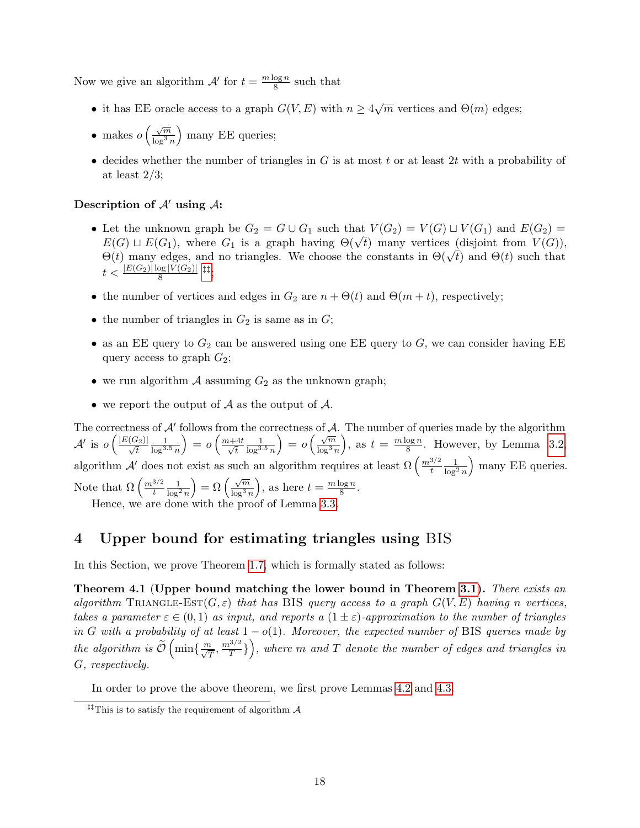Now we give an algorithm  $\mathcal{A}'$  for  $t = \frac{m \log n}{8}$  $\frac{\log n}{8}$  such that

- it has EE oracle access to a graph  $G(V, E)$  with  $n \geq 4\sqrt{m}$  vertices and  $\Theta(m)$  edges;
- makes  $o\left(\frac{\sqrt{m}}{\log^3 e}\right)$  $\overline{\log^3 n}$ ) many EE queries;
- decides whether the number of triangles in  $G$  is at most  $t$  or at least  $2t$  with a probability of at least  $2/3$ ;

### Description of  $A'$  using  $A$ :

- Let the unknown graph be  $G_2 = G \cup G_1$  such that  $V(G_2) = V(G) \cup V(G_1)$  and  $E(G_2) =$ Let the unknown graph be  $G_2 = G \cup G_1$  such that  $V(G_2) = V(G) \cup V(G_1)$  and  $E(G_2) = E(G) \cup E(G_1)$ , where  $G_1$  is a graph having  $\Theta(\sqrt{t})$  many vertices (disjoint from  $V(G)$ ),  $E(G) \sqcup E(G_1)$ , where  $G_1$  is a graph naving  $\Theta(\sqrt{t})$  many vertices (disjoint from  $V(G)$ ),<br> $\Theta(t)$  many edges, and no triangles. We choose the constants in  $\Theta(\sqrt{t})$  and  $\Theta(t)$  such that  $t < \frac{|E(G_2)|\log |V(G_2)|}{8}$  [‡‡](#page-19-2);
- the number of vertices and edges in  $G_2$  are  $n + \Theta(t)$  and  $\Theta(m + t)$ , respectively;
- the number of triangles in  $G_2$  is same as in  $G$ ;
- as an EE query to  $G_2$  can be answered using one EE query to  $G$ , we can consider having EE query access to graph  $G_2$ ;
- we run algorithm  $A$  assuming  $G_2$  as the unknown graph;
- we report the output of  $A$  as the output of  $A$ .

The correctness of  $A'$  follows from the correctness of  $A$ . The number of queries made by the algorithm  $\mathcal{A}'$  is  $o\left(\frac{|E(G_2)|}{\sqrt{t}}\right)$  $\frac{1}{\log^{3.5} n}$  $= o\left(\frac{m+4t}{\sqrt{t}}\right)$ t  $\frac{1}{\log^{3.5} n}$  $= o\left(\frac{\sqrt{m}}{\log^3{m}}\right)$  $\log^3 n$ ), as  $t = \frac{m \log n}{8}$  $\frac{\log n}{8}$ . However, by Lemma [3.2,](#page-9-1) algorithm  $\mathcal{A}'$  does not exist as such an algorithm requires at least  $\Omega\left(\frac{m^{3/2}}{t}\right)$ t  $\frac{1}{\log^2 n}$ ) many EE queries. Note that  $\Omega\left(\frac{m^{3/2}}{t}\right)$ t  $\frac{1}{\log^2 n}$  $= \Omega \left( \frac{\sqrt{m}}{\log^3 i} \right)$  $\overline{\log^3 n}$ ), as here  $t = \frac{m \log n}{8}$  $\frac{\log n}{8}$ . Hence, we are done with the proof of Lemma [3.3.](#page-9-3)

# <span id="page-19-0"></span>4 Upper bound for estimating triangles using BIS

In this Section, we prove Theorem [1.7,](#page-5-2) which is formally stated as follows:

<span id="page-19-1"></span>Theorem 4.1 (Upper bound matching the lower bound in Theorem [3.1\)](#page-9-4). There exists an algorithm TRIANGLE-EST( $G, \varepsilon$ ) that has BIS query access to a graph  $G(V, E)$  having n vertices, takes a parameter  $\varepsilon \in (0,1)$  as input, and reports a  $(1 \pm \varepsilon)$ -approximation to the number of triangles in G with a probability of at least  $1 - o(1)$ . Moreover, the expected number of BIS queries made by the algorithm is  $\widetilde{\mathcal{O}}\left(\min\{\frac{m}{\sqrt{T}},\frac{m^{3/2}}{T}\right)$ T } , where m and T denote the number of edges and triangles in G, respectively.

In order to prove the above theorem, we first prove Lemmas [4.2](#page-20-1) and [4.3.](#page-20-2)

<span id="page-19-2"></span><sup>&</sup>lt;sup>‡‡</sup>This is to satisfy the requirement of algorithm  $\mathcal A$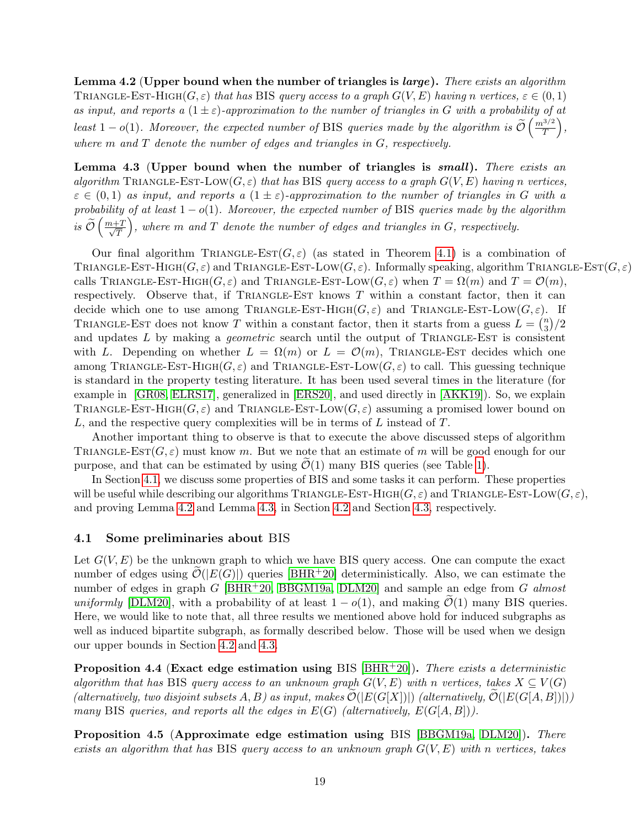<span id="page-20-1"></span>Lemma 4.2 (Upper bound when the number of triangles is  $large$ ). There exists an algorithm TRIANGLE-EST-HIGH( $G, \varepsilon$ ) that has BIS query access to a graph  $G(V, E)$  having n vertices,  $\varepsilon \in (0, 1)$ as input, and reports a  $(1 \pm \varepsilon)$ -approximation to the number of triangles in G with a probability of at least 1 – o(1). Moreover, the expected number of BIS queries made by the algorithm is  $\widetilde{\mathcal{O}}\left(\frac{m^{3/2}}{T}\right)$  $rac{3/2}{T}$ , where  $m$  and  $T$  denote the number of edges and triangles in  $G$ , respectively.

<span id="page-20-2"></span>Lemma 4.3 (Upper bound when the number of triangles is small). There exists an algorithm TRIANGLE-EST-LOW( $G, \varepsilon$ ) that has BIS query access to a graph  $G(V, E)$  having n vertices,  $\varepsilon \in (0,1)$  as input, and reports a  $(1 \pm \varepsilon)$ -approximation to the number of triangles in G with a probability of at least  $1 - o(1)$ . Moreover, the expected number of BIS queries made by the algorithm is  $\widetilde{\mathcal{O}}\left(\frac{m+T}{\sqrt{T}}\right)$ T ), where  $m$  and  $T$  denote the number of edges and triangles in  $G$ , respectively.

Our final algorithm TRIANGLE-EST $(G, \varepsilon)$  (as stated in Theorem [4.1\)](#page-19-1) is a combination of TRIANGLE-EST-HIGH( $G, \varepsilon$ ) and TRIANGLE-EST-LOW( $G, \varepsilon$ ). Informally speaking, algorithm TRIANGLE-EST( $G, \varepsilon$ ) calls TRIANGLE-EST-HIGH( $G, \varepsilon$ ) and TRIANGLE-EST-LOW( $G, \varepsilon$ ) when  $T = \Omega(m)$  and  $T = \mathcal{O}(m)$ , respectively. Observe that, if TRIANGLE-EST knows  $T$  within a constant factor, then it can decide which one to use among TRIANGLE-EST-HIGH $(G, \varepsilon)$  and TRIANGLE-EST-LOW $(G, \varepsilon)$ . If TRIANGLE-EST does not know T within a constant factor, then it starts from a guess  $L = \binom{n}{3}$  $\binom{n}{3}/2$ and updates  $L$  by making a *geometric* search until the output of TRIANGLE-EST is consistent with L. Depending on whether  $L = \Omega(m)$  or  $L = \mathcal{O}(m)$ , TRIANGLE-EST decides which one among TRIANGLE-EST-HIGH $(G, \varepsilon)$  and TRIANGLE-EST-LOW $(G, \varepsilon)$  to call. This guessing technique is standard in the property testing literature. It has been used several times in the literature (for example in [\[GR08,](#page-26-2) [ELRS17\]](#page-26-7), generalized in [\[ERS20\]](#page-26-11), and used directly in [\[AKK19\]](#page-25-8)). So, we explain TRIANGLE-EST-HIGH( $G, \varepsilon$ ) and TRIANGLE-EST-LOW( $G, \varepsilon$ ) assuming a promised lower bound on  $L$ , and the respective query complexities will be in terms of  $L$  instead of  $T$ .

Another important thing to observe is that to execute the above discussed steps of algorithm TRIANGLE-EST( $G, \varepsilon$ ) must know m. But we note that an estimate of m will be good enough for our purpose, and that can be estimated by using  $\mathcal{O}(1)$  many BIS queries (see Table [1\)](#page-3-0).

In Section [4.1,](#page-20-0) we discuss some properties of BIS and some tasks it can perform. These properties will be useful while describing our algorithms TRIANGLE-EST-HIGH( $G, \varepsilon$ ) and TRIANGLE-EST-LOW( $G, \varepsilon$ ), and proving Lemma [4.2](#page-20-1) and Lemma [4.3,](#page-20-2) in Section [4.2](#page-21-0) and Section [4.3,](#page-22-0) respectively.

## <span id="page-20-0"></span>4.1 Some preliminaries about BIS

Let  $G(V, E)$  be the unknown graph to which we have BIS query access. One can compute the exact number of edges using  $\mathcal{O}(|E(G)|)$  queries [\[BHR](#page-25-4)<sup>+</sup>20] deterministically. Also, we can estimate the number of edges in graph G  $[BHR^+20, BBGM19a, DLM20]$  $[BHR^+20, BBGM19a, DLM20]$  $[BHR^+20, BBGM19a, DLM20]$  $[BHR^+20, BBGM19a, DLM20]$  $[BHR^+20, BBGM19a, DLM20]$  and sample an edge from G almost uniformly [\[DLM20\]](#page-26-6), with a probability of at least  $1 - o(1)$ , and making  $\mathcal{O}(1)$  many BIS queries. Here, we would like to note that, all three results we mentioned above hold for induced subgraphs as well as induced bipartite subgraph, as formally described below. Those will be used when we design our upper bounds in Section [4.2](#page-21-0) and [4.3.](#page-22-0)

<span id="page-20-3"></span>Proposition 4.4 (Exact edge estimation using BIS  $|BHR+20|$ ). There exists a deterministic algorithm that has BIS query access to an unknown graph  $G(V, E)$  with n vertices, takes  $X \subseteq V(G)$ (alternatively, two disjoint subsets A, B) as input, makes  $\mathcal{O}(|E(G[X])|)$  (alternatively,  $\mathcal{O}(|E(G[A,B])|)$ ) many BIS queries, and reports all the edges in  $E(G)$  (alternatively,  $E(G|A, B|)$ ).

<span id="page-20-4"></span>Proposition 4.5 (Approximate edge estimation using BIS [\[BBGM19a,](#page-25-2) [DLM20\]](#page-26-6)). There exists an algorithm that has BIS query access to an unknown graph  $G(V, E)$  with n vertices, takes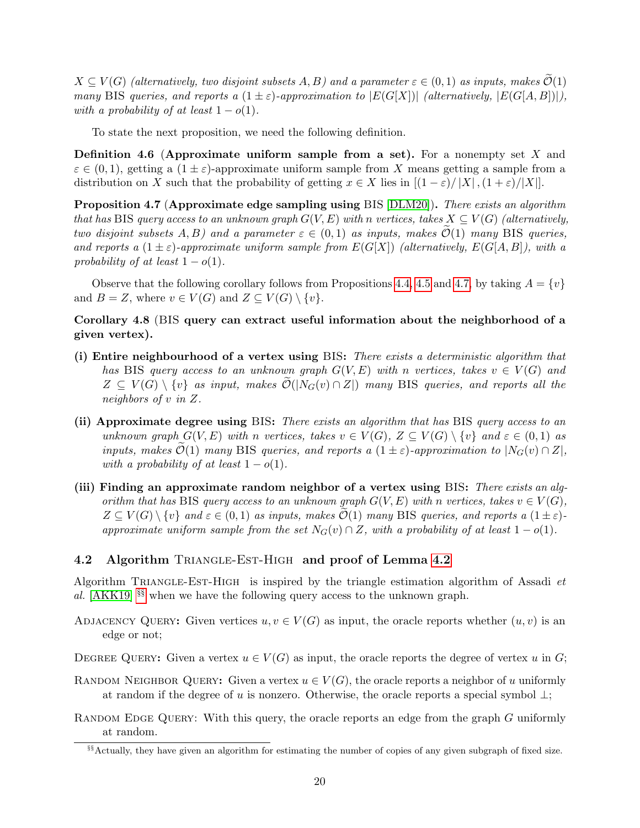$X \subseteq V(G)$  (alternatively, two disjoint subsets A, B) and a parameter  $\varepsilon \in (0,1)$  as inputs, makes  $\widetilde{\mathcal{O}}(1)$ many BIS queries, and reports a  $(1 \pm \varepsilon)$ -approximation to  $|E(G[X])|$  (alternatively,  $|E(G[A,B])|$ ), with a probability of at least  $1 - o(1)$ .

To state the next proposition, we need the following definition.

**Definition 4.6 (Approximate uniform sample from a set).** For a nonempty set  $X$  and  $\varepsilon \in (0,1)$ , getting a  $(1 \pm \varepsilon)$ -approximate uniform sample from X means getting a sample from a distribution on X such that the probability of getting  $x \in X$  lies in  $[(1 - \varepsilon)/|X|, (1 + \varepsilon)/|X|]$ .

<span id="page-21-2"></span>Proposition 4.7 (Approximate edge sampling using BIS [\[DLM20\]](#page-26-6)). There exists an algorithm that has BIS query access to an unknown graph  $G(V, E)$  with n vertices, takes  $X \subseteq V(G)$  (alternatively, two disjoint subsets  $A, B$ ) and a parameter  $\varepsilon \in (0, 1)$  as inputs, makes  $\mathcal{O}(1)$  many BIS queries, and reports a  $(1 \pm \varepsilon)$ -approximate uniform sample from  $E(G[X])$  (alternatively,  $E(G[A, B])$ , with a probability of at least  $1 - o(1)$ .

Observe that the following corollary follows from Propositions [4.4,](#page-20-3) [4.5](#page-20-4) and [4.7,](#page-21-2) by taking  $A = \{v\}$ and  $B = Z$ , where  $v \in V(G)$  and  $Z \subseteq V(G) \setminus \{v\}.$ 

# <span id="page-21-1"></span>Corollary 4.8 (BIS query can extract useful information about the neighborhood of a given vertex).

- (i) Entire neighbourhood of a vertex using BIS: There exists a deterministic algorithm that has BIS query access to an unknown graph  $G(V, E)$  with n vertices, takes  $v \in V(G)$  and  $Z \subseteq V(G) \setminus \{v\}$  as input, makes  $\mathcal{O}(|N_G(v) \cap Z|)$  many BIS queries, and reports all the neighbors of v in Z.
- (ii) Approximate degree using BIS: There exists an algorithm that has BIS query access to an unknown graph  $G(V, E)$  with n vertices, takes  $v \in V(G)$ ,  $Z \subseteq V(G) \setminus \{v\}$  and  $\varepsilon \in (0, 1)$  as inputs, makes  $\mathcal{O}(1)$  many BIS queries, and reports a  $(1 \pm \varepsilon)$ -approximation to  $|N_G(v) \cap Z|$ , with a probability of at least  $1 - o(1)$ .
- (iii) Finding an approximate random neighbor of a vertex using BIS: There exists an algorithm that has BIS query access to an unknown graph  $G(V, E)$  with n vertices, takes  $v \in V(G)$ ,  $Z \subseteq V(G) \setminus \{v\}$  and  $\varepsilon \in (0,1)$  as inputs, makes  $\mathcal{O}(1)$  many BIS queries, and reports a  $(1 \pm \varepsilon)$ approximate uniform sample from the set  $N_G(v) \cap Z$ , with a probability of at least  $1 - o(1)$ .

## <span id="page-21-0"></span>4.2 Algorithm TRIANGLE-EST-HIGH and proof of Lemma [4.2](#page-20-1)

Algorithm TRIANGLE-EST-HIGH is inspired by the triangle estimation algorithm of Assadi  $et$ al.  $[AKK19]$ <sup>[§§](#page-21-3)</sup> when we have the following query access to the unknown graph.

ADJACENCY QUERY: Given vertices  $u, v \in V(G)$  as input, the oracle reports whether  $(u, v)$  is an edge or not;

DEGREE QUERY: Given a vertex  $u \in V(G)$  as input, the oracle reports the degree of vertex u in G;

- RANDOM NEIGHBOR QUERY: Given a vertex  $u \in V(G)$ , the oracle reports a neighbor of u uniformly at random if the degree of u is nonzero. Otherwise, the oracle reports a special symbol  $\perp$ ;
- RANDOM EDGE QUERY: With this query, the oracle reports an edge from the graph G uniformly at random.

<span id="page-21-3"></span><sup>§§</sup>Actually, they have given an algorithm for estimating the number of copies of any given subgraph of fixed size.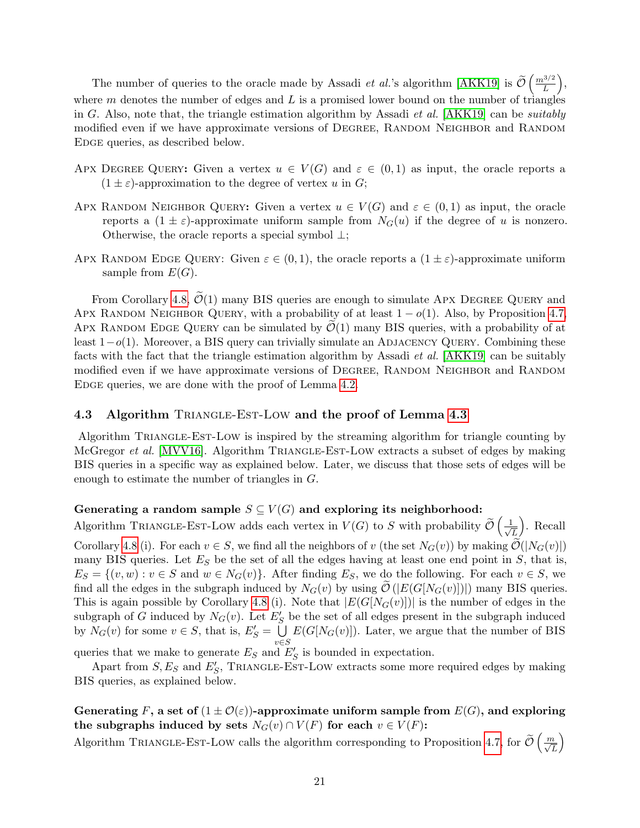The number of queries to the oracle made by Assadi *et al.*'s algorithm [\[AKK19\]](#page-25-8) is  $\tilde{\mathcal{O}}\left(\frac{m^{3/2}}{L}\right)$  $\left(\frac{3/2}{L}\right),$ where  $m$  denotes the number of edges and  $L$  is a promised lower bound on the number of triangles in G. Also, note that, the triangle estimation algorithm by Assadi *et al.* [\[AKK19\]](#page-25-8) can be *suitably* modified even if we have approximate versions of DEGREE, RANDOM NEIGHBOR and RANDOM EDGE queries, as described below.

- APX DEGREE QUERY: Given a vertex  $u \in V(G)$  and  $\varepsilon \in (0,1)$  as input, the oracle reports a  $(1 \pm \varepsilon)$ -approximation to the degree of vertex u in G;
- APX RANDOM NEIGHBOR QUERY: Given a vertex  $u \in V(G)$  and  $\varepsilon \in (0,1)$  as input, the oracle reports a  $(1 \pm \varepsilon)$ -approximate uniform sample from  $N_G(u)$  if the degree of u is nonzero. Otherwise, the oracle reports a special symbol ⊥;
- APX RANDOM EDGE QUERY: Given  $\varepsilon \in (0,1)$ , the oracle reports a  $(1 \pm \varepsilon)$ -approximate uniform sample from  $E(G)$ .

From Corollary [4.8,](#page-21-1)  $\tilde{\mathcal{O}}(1)$  many BIS queries are enough to simulate Apx DEGREE QUERY and APX RANDOM NEIGHBOR QUERY, with a probability of at least  $1 - o(1)$ . Also, by Proposition [4.7,](#page-21-2) APX RANDOM EDGE QUERY can be simulated by  $\mathcal{O}(1)$  many BIS queries, with a probability of at least  $1-o(1)$ . Moreover, a BIS query can trivially simulate an ADJACENCY QUERY. Combining these facts with the fact that the triangle estimation algorithm by Assadi et al. [\[AKK19\]](#page-25-8) can be suitably modified even if we have approximate versions of DEGREE, RANDOM NEIGHBOR and RANDOM EDGE queries, we are done with the proof of Lemma [4.2.](#page-20-1)

### <span id="page-22-0"></span>4.3 Algorithm TRIANGLE-EST-LOW and the proof of Lemma [4.3](#page-20-2)

Algorithm Triangle-Est-Low is inspired by the streaming algorithm for triangle counting by McGregor *et al.* [\[MVV16\]](#page-26-12). Algorithm TRIANGLE-EST-LOW extracts a subset of edges by making BIS queries in a specific way as explained below. Later, we discuss that those sets of edges will be enough to estimate the number of triangles in G.

## Generating a random sample  $S \subseteq V(G)$  and exploring its neighborhood:

Algorithm TRIANGLE-EST-LOW adds each vertex in  $V(G)$  to S with probability  $\widetilde{\mathcal{O}}\left(\frac{1}{\sqrt{2}}\right)$ L . Recall Corollary [4.8](#page-21-1) (i). For each  $v \in S$ , we find all the neighbors of v (the set  $N_G(v)$ ) by making  $\mathcal{O}(|N_G(v)|)$ many BIS queries. Let  $E<sub>S</sub>$  be the set of all the edges having at least one end point in S, that is,  $E_S = \{(v, w) : v \in S \text{ and } w \in N_G(v)\}.$  After finding  $E_S$ , we do the following. For each  $v \in S$ , we find all the edges in the subgraph induced by  $N_G(v)$  by using  $\mathcal{O}(|E(G[N_G(v)])|)$  many BIS queries. This is again possible by Corollary [4.8](#page-21-1) (i). Note that  $|E(G[N_G(v)])|$  is the number of edges in the subgraph of G induced by  $N_G(v)$ . Let  $E'_S$  be the set of all edges present in the subgraph induced by  $N_G(v)$  for some  $v \in S$ , that is,  $E'_S = \overline{\bigcup}$ v∈S  $E(G[N_G(v)])$ . Later, we argue that the number of BIS

queries that we make to generate  $E_S$  and  $E'_S$  is bounded in expectation.

Apart from  $S, E_S$  and  $E'_S$ , TRIANGLE-EST-LOW extracts some more required edges by making BIS queries, as explained below.

Generating F, a set of  $(1 \pm \mathcal{O}(\varepsilon))$ -approximate uniform sample from  $E(G)$ , and exploring the subgraphs induced by sets  $N_G(v) \cap V(F)$  for each  $v \in V(F)$ :

Algorithm TRIANGLE-EST-LOW calls the algorithm corresponding to Proposition [4.7,](#page-21-2) for  $\widetilde{\mathcal{O}}\left(\frac{m}{\sqrt{L}}\right)$  $\setminus$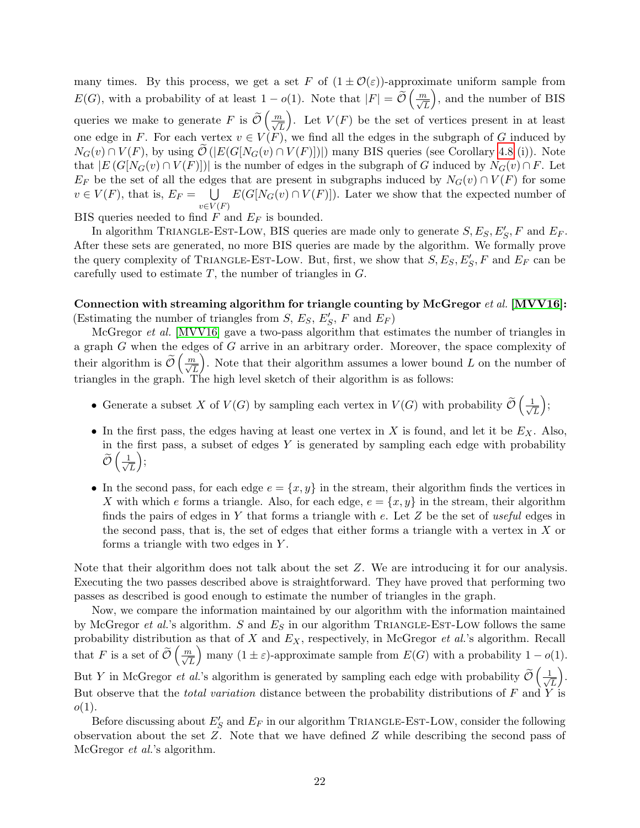many times. By this process, we get a set F of  $(1 \pm \mathcal{O}(\varepsilon))$ -approximate uniform sample from  $E(G)$ , with a probability of at least  $1 - o(1)$ . Note that  $|F| = \widetilde{\mathcal{O}}\left(\frac{m}{\sqrt{L}}\right)$  , and the number of BIS queries we make to generate F is  $\widetilde{\mathcal{O}}\left(\frac{m}{\sqrt{L}}\right)$ ). Let  $V(F)$  be the set of vertices present in at least one edge in F. For each vertex  $v \in V(F)$ , we find all the edges in the subgraph of G induced by  $N_G(v) \cap V(F)$ , by using  $\mathcal{O}(|E(G[N_G(v) \cap V(F)|)|)$  many BIS queries (see Corollary [4.8](#page-21-1) (i)). Note that  $|E(G[N_G(v) \cap V(F)])|$  is the number of edges in the subgraph of G induced by  $N_G(v) \cap F$ . Let  $E_F$  be the set of all the edges that are present in subgraphs induced by  $N_G(v) \cap V(F)$  for some  $v \in V(F)$ , that is,  $E_F = \bigcup$  $v\in V(F)$  $E(G[N_G(v) \cap V(F)])$ . Later we show that the expected number of

BIS queries needed to find  $F$  and  $E_F$  is bounded.

In algorithm TRIANGLE-EST-LOW, BIS queries are made only to generate  $S, E_S, E'_S, F$  and  $E_F$ . After these sets are generated, no more BIS queries are made by the algorithm. We formally prove the query complexity of TRIANGLE-EST-LOW. But, first, we show that  $S, E_S, E'_S, F$  and  $E_F$  can be carefully used to estimate  $T$ , the number of triangles in  $G$ .

Connection with streaming algorithm for triangle counting by McGregor et al. [\[MVV16\]](#page-26-12): (Estimating the number of triangles from  $S, E_S, E'_S, F$  and  $E_F$ )

McGregor *et al.* [\[MVV16\]](#page-26-12) gave a two-pass algorithm that estimates the number of triangles in a graph G when the edges of G arrive in an arbitrary order. Moreover, the space complexity of their algorithm is  $\tilde{\mathcal{O}}\left(\frac{m}{\sqrt{L}}\right)$ ). Note that their algorithm assumes a lower bound  $L$  on the number of triangles in the graph. The high level sketch of their algorithm is as follows:

- Generate a subset X of  $V(G)$  by sampling each vertex in  $V(G)$  with probability  $\widetilde{\mathcal{O}}\left(\frac{1}{\sqrt{2}}\right)$ L  $\big),$
- In the first pass, the edges having at least one vertex in  $X$  is found, and let it be  $E_X$ . Also, in the first pass, a subset of edges  $Y$  is generated by sampling each edge with probability  $\widetilde{\mathcal{O}}\left(\frac{1}{\sqrt{2}}\right)$ L  $\bigg),$
- In the second pass, for each edge  $e = \{x, y\}$  in the stream, their algorithm finds the vertices in X with which e forms a triangle. Also, for each edge,  $e = \{x, y\}$  in the stream, their algorithm finds the pairs of edges in Y that forms a triangle with  $e$ . Let  $Z$  be the set of useful edges in the second pass, that is, the set of edges that either forms a triangle with a vertex in  $X$  or forms a triangle with two edges in Y .

Note that their algorithm does not talk about the set Z. We are introducing it for our analysis. Executing the two passes described above is straightforward. They have proved that performing two passes as described is good enough to estimate the number of triangles in the graph.

Now, we compare the information maintained by our algorithm with the information maintained by McGregor *et al.*'s algorithm. S and  $E<sub>S</sub>$  in our algorithm TRIANGLE-EST-LOW follows the same probability distribution as that of  $X$  and  $E_X$ , respectively, in McGregor *et al.*'s algorithm. Recall that F is a set of  $\widetilde{\mathcal{O}}\left(\frac{m}{\sqrt{L}}\right)$ many  $(1 \pm \varepsilon)$ -approximate sample from  $E(G)$  with a probability  $1 - o(1)$ . But Y in McGregor *et al.*'s algorithm is generated by sampling each edge with probability  $\widetilde{\mathcal{O}}\left(\frac{1}{\sqrt{2}}\right)$ L . But observe that the *total variation* distance between the probability distributions of  $F$  and  $Y$  is  $o(1)$ .

Before discussing about  $E'_S$  and  $E_F$  in our algorithm TRIANGLE-EST-LOW, consider the following observation about the set  $Z$ . Note that we have defined  $Z$  while describing the second pass of McGregor *et al.*'s algorithm.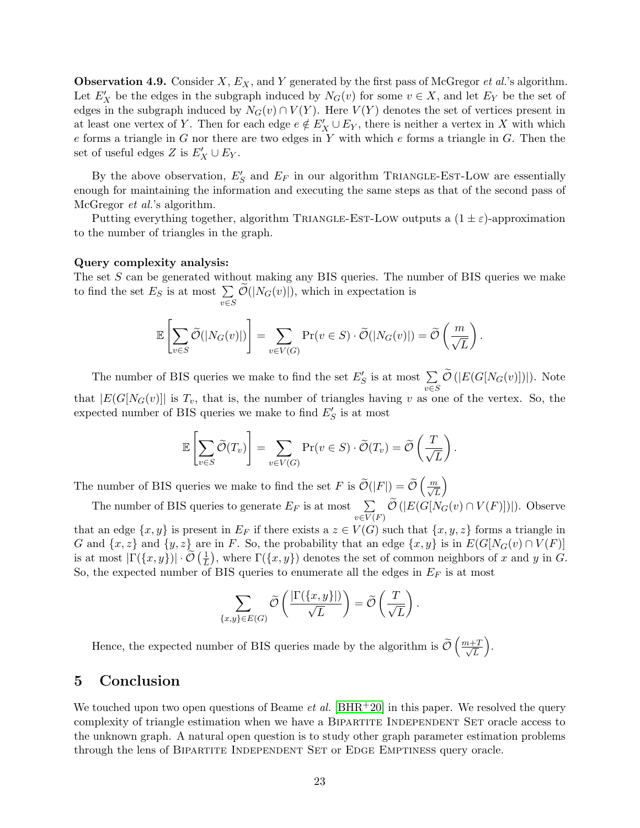**Observation 4.9.** Consider X,  $E_X$ , and Y generated by the first pass of McGregor *et al.*'s algorithm. Let  $E'_X$  be the edges in the subgraph induced by  $N_G(v)$  for some  $v \in X$ , and let  $E_Y$  be the set of edges in the subgraph induced by  $N_G(v) \cap V(Y)$ . Here  $V(Y)$  denotes the set of vertices present in at least one vertex of Y. Then for each edge  $e \notin E'_X \cup E_Y$ , there is neither a vertex in X with which  $e$  forms a triangle in  $G$  nor there are two edges in  $Y$  with which  $e$  forms a triangle in  $G$ . Then the set of useful edges Z is  $E'_X \cup E_Y$ .

By the above observation,  $E'_{S}$  and  $E_{F}$  in our algorithm TRIANGLE-EST-LOW are essentially enough for maintaining the information and executing the same steps as that of the second pass of McGregor *et al.*'s algorithm.

Putting everything together, algorithm TRIANGLE-EST-LOW outputs a  $(1 \pm \varepsilon)$ -approximation to the number of triangles in the graph.

#### Query complexity analysis:

The set  $S$  can be generated without making any BIS queries. The number of BIS queries we make to find the set  $E_S$  is at most  $\Sigma$  $\sum_{v \in S} \mathcal{O}(|N_G(v)|)$ , which in expectation is

$$
\mathbb{E}\left[\sum_{v\in S}\widetilde{\mathcal{O}}(|N_G(v)|)\right]=\sum_{v\in V(G)}\Pr(v\in S)\cdot\widetilde{\mathcal{O}}(|N_G(v)|)=\widetilde{\mathcal{O}}\left(\frac{m}{\sqrt{L}}\right).
$$

The number of BIS queries we make to find the set  $E'_{S}$  is at most  $\sum$  $\sum_{v\in S} \mathcal{O}\left(|E(G[N_G(v)])|\right)$ . Note that  $|E(G[N_G(v))]$  is  $T_v$ , that is, the number of triangles having v as one of the vertex. So, the expected number of BIS queries we make to find  $E'_{S}$  is at most

$$
\mathbb{E}\left[\sum_{v\in S}\widetilde{\mathcal{O}}(T_v)\right]=\sum_{v\in V(G)}\Pr(v\in S)\cdot\widetilde{\mathcal{O}}(T_v)=\widetilde{\mathcal{O}}\left(\frac{T}{\sqrt{L}}\right).
$$

The number of BIS queries we make to find the set F is  $\widetilde{\mathcal{O}}(|F|) = \widetilde{\mathcal{O}}\left(\frac{m}{\sqrt{L}}\right)$  $\setminus$ 

The number of BIS queries to generate  $E_F$  is at most  $\sum$  $\sum_{v \in V(F)} \mathcal{O}\left(|E(G[N_G(v) \cap V(F)])|\right)$ . Observe

that an edge  $\{x, y\}$  is present in  $E_F$  if there exists a  $z \in V(G)$  such that  $\{x, y, z\}$  forms a triangle in G and  $\{x, z\}$  and  $\{y, z\}$  are in F. So, the probability that an edge  $\{x, y\}$  is in  $E(G[N_G(v) \cap V(F))]$ is at most  $|\Gamma(\lbrace x,y \rbrace)| \cdot \widetilde{\mathcal{O}}(\frac{1}{L})$  $(\frac{1}{L})$ , where  $\Gamma({x, y})$  denotes the set of common neighbors of x and y in G. So, the expected number of BIS queries to enumerate all the edges in  $E_F$  is at most

$$
\sum_{\{x,y\}\in E(G)} \widetilde{\mathcal{O}}\left(\frac{|\Gamma(\{x,y\}|)}{\sqrt{L}}\right) = \widetilde{\mathcal{O}}\left(\frac{T}{\sqrt{L}}\right).
$$

Hence, the expected number of BIS queries made by the algorithm is  $\tilde{\mathcal{O}}\left(\frac{m+T}{\sqrt{L}}\right)$ L .

# <span id="page-24-0"></span>5 Conclusion

We touched upon two open questions of Beame *et al.* [\[BHR](#page-25-4)<sup>+</sup>20] in this paper. We resolved the query complexity of triangle estimation when we have a BIPARTITE INDEPENDENT SET oracle access to the unknown graph. A natural open question is to study other graph parameter estimation problems through the lens of BIPARTITE INDEPENDENT SET or EDGE EMPTINESS query oracle.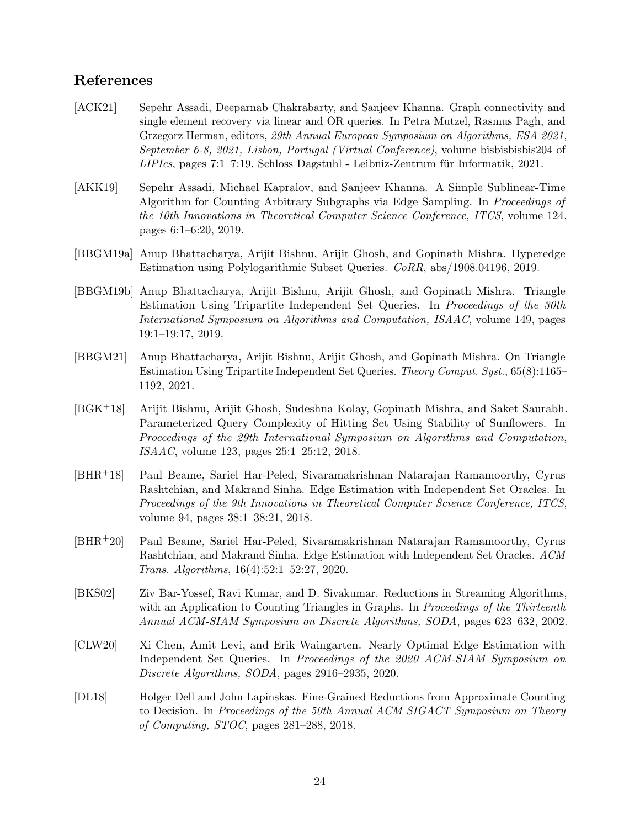# References

- <span id="page-25-10"></span>[ACK21] Sepehr Assadi, Deeparnab Chakrabarty, and Sanjeev Khanna. Graph connectivity and single element recovery via linear and OR queries. In Petra Mutzel, Rasmus Pagh, and Grzegorz Herman, editors, 29th Annual European Symposium on Algorithms, ESA 2021, September 6-8, 2021, Lisbon, Portugal (Virtual Conference), volume bisbisbisbis204 of  $LIPIcs$ , pages  $7:1-7:19$ . Schloss Dagstuhl - Leibniz-Zentrum für Informatik, 2021.
- <span id="page-25-8"></span>[AKK19] Sepehr Assadi, Michael Kapralov, and Sanjeev Khanna. A Simple Sublinear-Time Algorithm for Counting Arbitrary Subgraphs via Edge Sampling. In Proceedings of the 10th Innovations in Theoretical Computer Science Conference, ITCS, volume 124, pages 6:1–6:20, 2019.
- <span id="page-25-2"></span>[BBGM19a] Anup Bhattacharya, Arijit Bishnu, Arijit Ghosh, and Gopinath Mishra. Hyperedge Estimation using Polylogarithmic Subset Queries. CoRR, abs/1908.04196, 2019.
- <span id="page-25-5"></span>[BBGM19b] Anup Bhattacharya, Arijit Bishnu, Arijit Ghosh, and Gopinath Mishra. Triangle Estimation Using Tripartite Independent Set Queries. In Proceedings of the 30th International Symposium on Algorithms and Computation, ISAAC, volume 149, pages 19:1–19:17, 2019.
- <span id="page-25-1"></span>[BBGM21] Anup Bhattacharya, Arijit Bishnu, Arijit Ghosh, and Gopinath Mishra. On Triangle Estimation Using Tripartite Independent Set Queries. Theory Comput. Syst., 65(8):1165– 1192, 2021.
- <span id="page-25-7"></span>[BGK+18] Arijit Bishnu, Arijit Ghosh, Sudeshna Kolay, Gopinath Mishra, and Saket Saurabh. Parameterized Query Complexity of Hitting Set Using Stability of Sunflowers. In Proceedings of the 29th International Symposium on Algorithms and Computation, ISAAC, volume 123, pages 25:1–25:12, 2018.
- <span id="page-25-3"></span>[BHR+18] Paul Beame, Sariel Har-Peled, Sivaramakrishnan Natarajan Ramamoorthy, Cyrus Rashtchian, and Makrand Sinha. Edge Estimation with Independent Set Oracles. In Proceedings of the 9th Innovations in Theoretical Computer Science Conference, ITCS, volume 94, pages 38:1–38:21, 2018.
- <span id="page-25-4"></span>[BHR+20] Paul Beame, Sariel Har-Peled, Sivaramakrishnan Natarajan Ramamoorthy, Cyrus Rashtchian, and Makrand Sinha. Edge Estimation with Independent Set Oracles. ACM Trans. Algorithms, 16(4):52:1–52:27, 2020.
- <span id="page-25-9"></span>[BKS02] Ziv Bar-Yossef, Ravi Kumar, and D. Sivakumar. Reductions in Streaming Algorithms, with an Application to Counting Triangles in Graphs. In *Proceedings of the Thirteenth* Annual ACM-SIAM Symposium on Discrete Algorithms, SODA, pages 623–632, 2002.
- <span id="page-25-6"></span>[CLW20] Xi Chen, Amit Levi, and Erik Waingarten. Nearly Optimal Edge Estimation with Independent Set Queries. In Proceedings of the 2020 ACM-SIAM Symposium on Discrete Algorithms, SODA, pages 2916–2935, 2020.
- <span id="page-25-0"></span>[DL18] Holger Dell and John Lapinskas. Fine-Grained Reductions from Approximate Counting to Decision. In Proceedings of the 50th Annual ACM SIGACT Symposium on Theory of Computing, STOC, pages 281–288, 2018.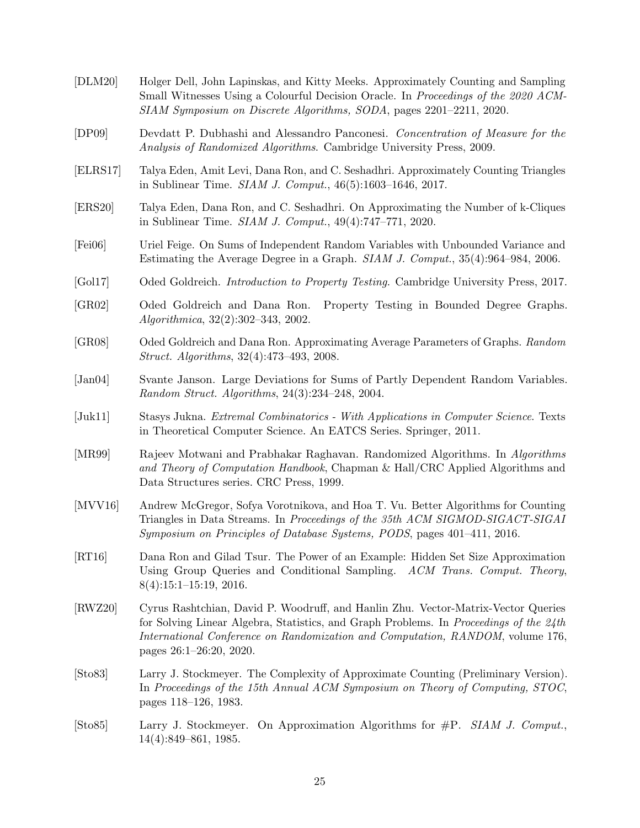<span id="page-26-15"></span><span id="page-26-14"></span><span id="page-26-13"></span><span id="page-26-12"></span><span id="page-26-11"></span><span id="page-26-10"></span><span id="page-26-9"></span><span id="page-26-8"></span><span id="page-26-7"></span><span id="page-26-6"></span><span id="page-26-5"></span><span id="page-26-4"></span><span id="page-26-3"></span><span id="page-26-2"></span><span id="page-26-1"></span><span id="page-26-0"></span>[DLM20] Holger Dell, John Lapinskas, and Kitty Meeks. Approximately Counting and Sampling Small Witnesses Using a Colourful Decision Oracle. In Proceedings of the 2020 ACM-SIAM Symposium on Discrete Algorithms, SODA, pages 2201–2211, 2020. [DP09] Devdatt P. Dubhashi and Alessandro Panconesi. Concentration of Measure for the Analysis of Randomized Algorithms. Cambridge University Press, 2009. [ELRS17] Talya Eden, Amit Levi, Dana Ron, and C. Seshadhri. Approximately Counting Triangles in Sublinear Time. SIAM J. Comput., 46(5):1603–1646, 2017. [ERS20] Talya Eden, Dana Ron, and C. Seshadhri. On Approximating the Number of k-Cliques in Sublinear Time. SIAM J. Comput., 49(4):747–771, 2020. [Fei06] Uriel Feige. On Sums of Independent Random Variables with Unbounded Variance and Estimating the Average Degree in a Graph. SIAM J. Comput., 35(4):964–984, 2006. [Gol17] Oded Goldreich. Introduction to Property Testing. Cambridge University Press, 2017. [GR02] Oded Goldreich and Dana Ron. Property Testing in Bounded Degree Graphs. Algorithmica, 32(2):302–343, 2002. [GR08] Oded Goldreich and Dana Ron. Approximating Average Parameters of Graphs. Random Struct. Algorithms, 32(4):473–493, 2008. [Jan04] Svante Janson. Large Deviations for Sums of Partly Dependent Random Variables. Random Struct. Algorithms, 24(3):234–248, 2004. [Juk11] Stasys Jukna. Extremal Combinatorics - With Applications in Computer Science. Texts in Theoretical Computer Science. An EATCS Series. Springer, 2011. [MR99] Rajeev Motwani and Prabhakar Raghavan. Randomized Algorithms. In Algorithms and Theory of Computation Handbook, Chapman & Hall/CRC Applied Algorithms and Data Structures series. CRC Press, 1999. [MVV16] Andrew McGregor, Sofya Vorotnikova, and Hoa T. Vu. Better Algorithms for Counting Triangles in Data Streams. In Proceedings of the 35th ACM SIGMOD-SIGACT-SIGAI Symposium on Principles of Database Systems, PODS, pages 401–411, 2016. [RT16] Dana Ron and Gilad Tsur. The Power of an Example: Hidden Set Size Approximation Using Group Queries and Conditional Sampling. ACM Trans. Comput. Theory, 8(4):15:1–15:19, 2016. [RWZ20] Cyrus Rashtchian, David P. Woodruff, and Hanlin Zhu. Vector-Matrix-Vector Queries for Solving Linear Algebra, Statistics, and Graph Problems. In Proceedings of the 24th International Conference on Randomization and Computation, RANDOM, volume 176, pages 26:1–26:20, 2020. [Sto83] Larry J. Stockmeyer. The Complexity of Approximate Counting (Preliminary Version). In Proceedings of the 15th Annual ACM Symposium on Theory of Computing, STOC, pages 118–126, 1983. [Sto85] Larry J. Stockmeyer. On Approximation Algorithms for #P. SIAM J. Comput., 14(4):849–861, 1985.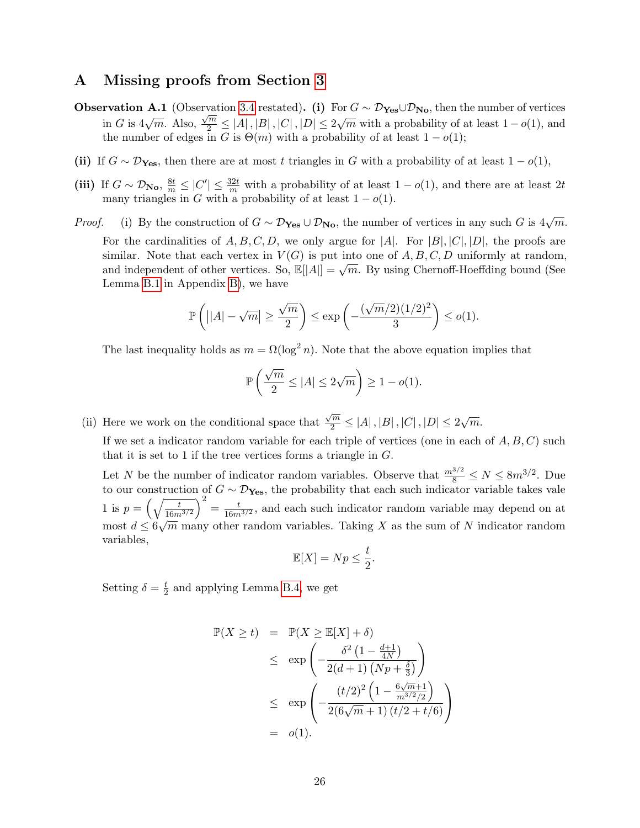# <span id="page-27-0"></span>A Missing proofs from Section [3](#page-9-0)

- **Observation A.1** (Observation [3.4](#page-0-0) restated). (i) For  $G \sim \mathcal{D}_{\text{Yes}} \cup \mathcal{D}_{\text{No}}$ , then the number of vertices in G is  $4\sqrt{m}$ . Also,  $\frac{\sqrt{m}}{2} \le |A|$ ,  $|B|$ ,  $|C|$ ,  $|D| \le 2\sqrt{m}$  with a probability of at least  $1-o(1)$ , and the number of edges in G is  $\Theta(m)$  with a probability of at least  $1 - o(1)$ ;
- (ii) If  $G \sim \mathcal{D}_{\text{Yes}}$ , then there are at most t triangles in G with a probability of at least  $1 o(1)$ ,
- (iii) If  $G \sim \mathcal{D}_{\text{No}}, \frac{8t}{m} \leq |C'| \leq \frac{32t}{m}$  with a probability of at least  $1 o(1)$ , and there are at least  $2t$ many triangles in G with a probability of at least  $1 - o(1)$ .
- *Proof.* (i) By the construction of  $G \sim \mathcal{D}_{\text{Yes}} \cup \mathcal{D}_{\text{No}}$ , the number of vertices in any such G is  $4\sqrt{m}$ . For the cardinalities of  $A, B, C, D$ , we only argue for |A|. For |B|, |C|, |D|, the proofs are similar. Note that each vertex in  $V(G)$  is put into one of A, B, C, D uniformly at random, and independent of other vertices. So,  $\mathbb{E}[|A|] = \sqrt{m}$ . By using Chernoff-Hoeffding bound (See Lemma [B.1](#page-29-1) in Appendix [B\)](#page-29-0), we have

$$
\mathbb{P}\left(\left||A|-\sqrt{m}\right| \ge \frac{\sqrt{m}}{2}\right) \le \exp\left(-\frac{(\sqrt{m}/2)(1/2)^2}{3}\right) \le o(1).
$$

The last inequality holds as  $m = \Omega(\log^2 n)$ . Note that the above equation implies that

$$
\mathbb{P}\left(\frac{\sqrt{m}}{2} \le |A| \le 2\sqrt{m}\right) \ge 1 - o(1).
$$

(ii) Here we work on the conditional space that  $\frac{\sqrt{m}}{2} \le |A|, |B|, |C|, |D| \le 2\sqrt{m}.$ 

If we set a indicator random variable for each triple of vertices (one in each of  $A, B, C$ ) such that it is set to 1 if the tree vertices forms a triangle in  $G$ .

Let N be the number of indicator random variables. Observe that  $\frac{m^{3/2}}{8} \le N \le 8m^{3/2}$ . Due to our construction of  $G \sim \mathcal{D}_{\text{Yes}}$ , the probability that each such indicator variable takes vale 1 is  $p = \left(\sqrt{\frac{t}{16m}}\right)$  $16m^{3/2}$  $\bigg\}^2 = \frac{t}{16m}$  $\frac{t}{16m^{3/2}}$ , and each such indicator random variable may depend on at most  $d \leq 6\sqrt{m}$  many other random variables. Taking X as the sum of N indicator random √ variables,

$$
\mathbb{E}[X] = Np \le \frac{t}{2}.
$$

Setting  $\delta = \frac{t}{2}$  $\frac{t}{2}$  and applying Lemma [B.4,](#page-29-2) we get

$$
\mathbb{P}(X \ge t) = \mathbb{P}(X \ge \mathbb{E}[X] + \delta)
$$
  
\n
$$
\le \exp\left(-\frac{\delta^2 \left(1 - \frac{d+1}{4N}\right)}{2(d+1) \left(Np + \frac{\delta}{3}\right)}\right)
$$
  
\n
$$
\le \exp\left(-\frac{(t/2)^2 \left(1 - \frac{6\sqrt{m}+1}{m^{3/2}/2}\right)}{2(6\sqrt{m}+1) \left(t/2 + t/6\right)}\right)
$$
  
\n
$$
= o(1).
$$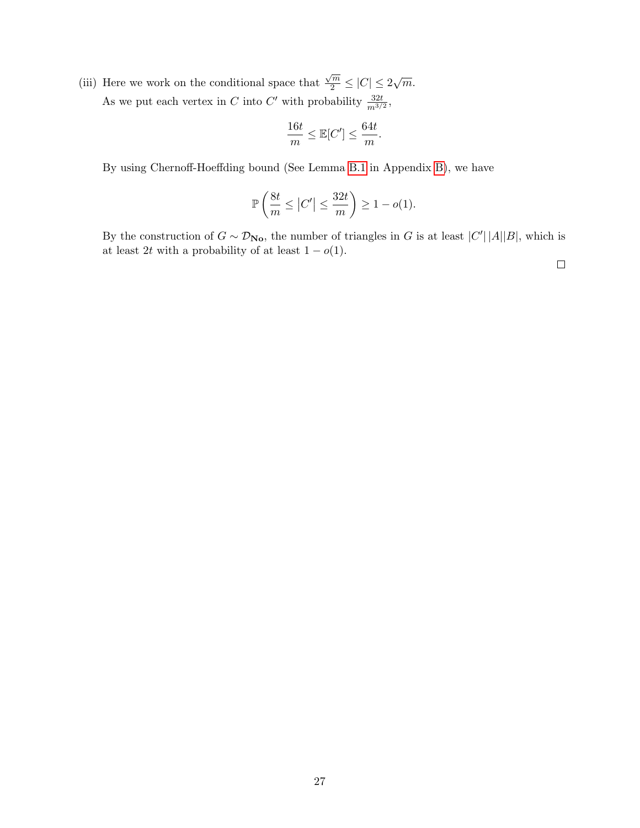(iii) Here we work on the conditional space that  $\frac{\sqrt{m}}{2} \leq |C| \leq 2\sqrt{m}.$ As we put each vertex in C into C' with probability  $\frac{32t}{m^{3/2}}$ ,

$$
\frac{16t}{m} \le \mathbb{E}[C'] \le \frac{64t}{m}.
$$

By using Chernoff-Hoeffding bound (See Lemma [B.1](#page-29-1) in Appendix [B\)](#page-29-0), we have

$$
\mathbb{P}\left(\frac{8t}{m}\leq \left|C'\right|\leq \frac{32t}{m}\right)\geq 1-o(1).
$$

By the construction of  $G \sim \mathcal{D}_{N_{\mathbf{O}}}$ , the number of triangles in G is at least  $|C'| \, |A||B|$ , which is at least 2t with a probability of at least  $1 - o(1)$ .

 $\Box$